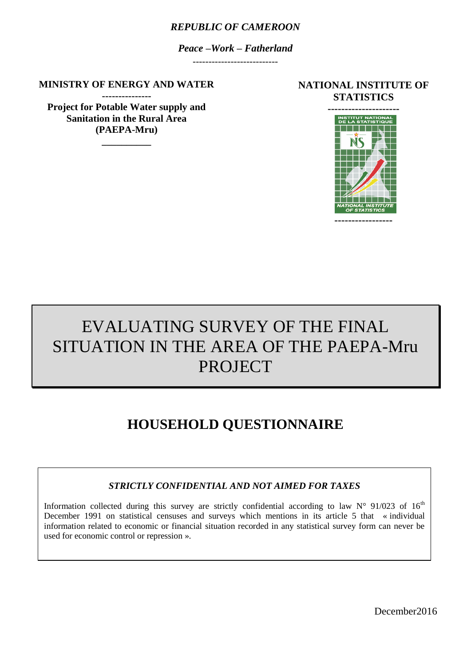*REPUBLIC OF CAMEROON*

*Peace –Work – Fatherland*

---------------------------

**MINISTRY OF ENERGY AND WATER ---------------**

**Project for Potable Water supply and Sanitation in the Rural Area (PAEPA-Mru)** 

**\_\_\_\_\_\_\_\_\_\_**

**NATIONAL INSTITUTE OF STATISTICS**



# EVALUATING SURVEY OF THE FINAL SITUATION IN THE AREA OF THE PAEPA-Mru PROJECT

# **HOUSEHOLD QUESTIONNAIRE**

# *STRICTLY CONFIDENTIAL AND NOT AIMED FOR TAXES*

Information collected during this survey are strictly confidential according to law  $N^{\circ}$  91/023 of 16<sup>th</sup> December 1991 on statistical censuses and surveys which mentions in its article 5 that « individual information related to economic or financial situation recorded in any statistical survey form can never be used for economic control or repression ».

December2016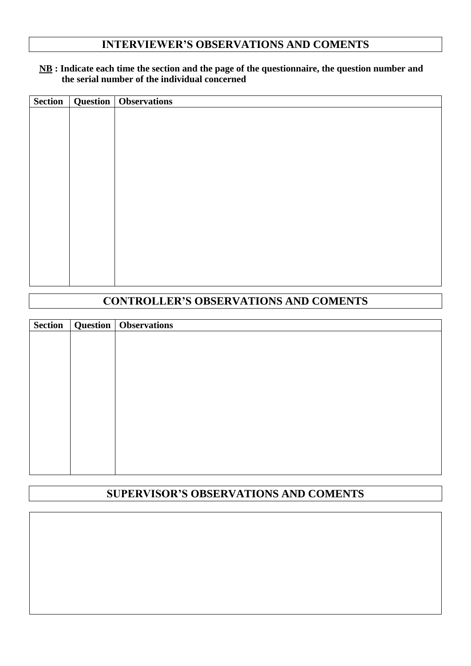# **INTERVIEWER'S OBSERVATIONS AND COMENTS**

## **NB : Indicate each time the section and the page of the questionnaire, the question number and the serial number of the individual concerned**

| <b>Section</b> | <b>Question</b> Observations |
|----------------|------------------------------|
|                |                              |
|                |                              |
|                |                              |
|                |                              |
|                |                              |
|                |                              |
|                |                              |
|                |                              |
|                |                              |
|                |                              |
|                |                              |
|                |                              |
|                |                              |
|                |                              |
|                |                              |

# **CONTROLLER'S OBSERVATIONS AND COMENTS**

|  | Section   Question   Observations |
|--|-----------------------------------|
|  |                                   |
|  |                                   |
|  |                                   |
|  |                                   |
|  |                                   |
|  |                                   |
|  |                                   |
|  |                                   |
|  |                                   |
|  |                                   |
|  |                                   |
|  |                                   |

# **SUPERVISOR'S OBSERVATIONS AND COMENTS**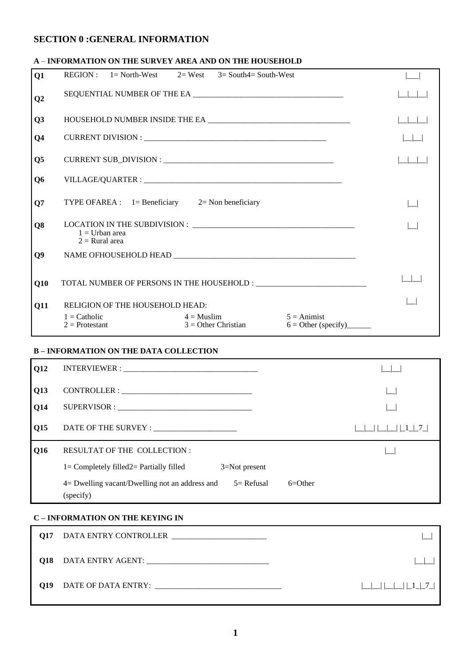#### **SECTION 0 :GENERAL INFORMATION**

#### **A** – **INFORMATION ON THE SURVEY AREA AND ON THE HOUSEHOLD**

| $\overline{Q1}$ | REGION : $1 = \text{North-West}$ $2 = \text{West}$ $3 = \text{South4} = \text{South-West}$ |              |                       |               |  |
|-----------------|--------------------------------------------------------------------------------------------|--------------|-----------------------|---------------|--|
| Q2              |                                                                                            |              |                       |               |  |
| Q <sub>3</sub>  |                                                                                            |              |                       |               |  |
| Q <sub>4</sub>  |                                                                                            |              |                       |               |  |
| Q <sub>5</sub>  |                                                                                            |              |                       |               |  |
| Q <sub>6</sub>  |                                                                                            |              |                       |               |  |
| Q7              | TYPE OFAREA : $1 =$ Beneficiary $2 =$ Non beneficiary                                      |              |                       |               |  |
| Q <sub>8</sub>  | $1 =$ Urban area<br>$2 =$ Rural area                                                       |              |                       |               |  |
| Q <sub>9</sub>  |                                                                                            |              |                       |               |  |
| Q10             | TOTAL NUMBER OF PERSONS IN THE HOUSEHOLD :                                                 |              |                       |               |  |
| <b>O11</b>      | <b>RELIGION OF THE HOUSEHOLD HEAD:</b>                                                     |              |                       |               |  |
|                 | $1 =$ Catholic<br>$2 =$ Protestant                                                         | $4 =$ Muslim | $3 =$ Other Christian | $5 =$ Animist |  |
|                 | <b>B - INFORMATION ON THE DATA COLLECTION</b>                                              |              |                       |               |  |

#### **B – INFORMATION ON THE DATA COLLECTION**

| Q12 |                                                                                                                                    |  |
|-----|------------------------------------------------------------------------------------------------------------------------------------|--|
| Q13 | $CONTROLLER: \begin{tabular}{@{}c@{}} \quad \quad & \quad \quad & \quad \quad & \quad \quad & \quad \quad \\ \hline \end{tabular}$ |  |
| Q14 |                                                                                                                                    |  |
| Q15 |                                                                                                                                    |  |
| Q16 | <b>RESULTAT OF THE COLLECTION:</b>                                                                                                 |  |
|     | $1 =$ Completely filled $2 =$ Partially filled<br>$3 = Not present$                                                                |  |
|     | $5 =$ Refusal<br>$4$ Dwelling vacant/Dwelling not an address and<br>$6=Other$<br>(specify)                                         |  |

#### **C – INFORMATION ON THE KEYING IN**

| O17 | DATA ENTRY CONTROLLER |  |
|-----|-----------------------|--|
| O18 |                       |  |
| 019 | DATE OF DATA ENTRY:   |  |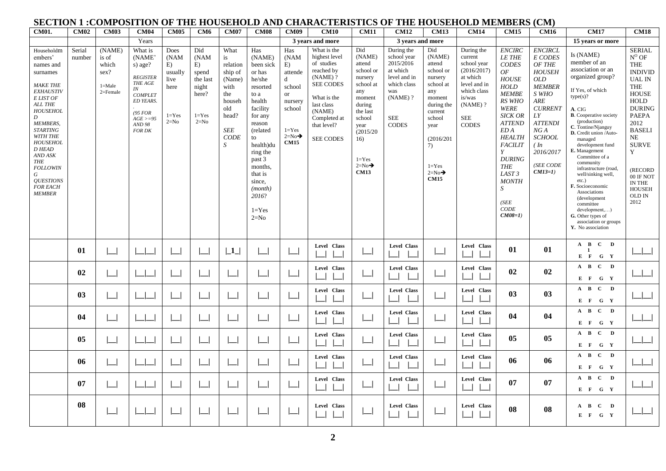# **SECTION 1 :COMPOSITION OF THE HOUSEHOLD AND CHARACTERISTICS OF THE HOUSEHOLD MEMBERS (CM)**

| CM01.                                                                                                                                                                                                                                                                                                                                       | <b>CM02</b>      | <b>CM03</b>                                                    | <b>CM04</b>                                                                                                                                                    | <b>CM05</b>                                                          | CM <sub>6</sub>                                                                 | <b>CM07</b>                                                                                                            | <b>CM08</b>                                                                                                                                                                                                                                   | <b>CM09</b>                                                                                                                       | CM10                                                                                                                                                                                 | <b>CM11</b>                                                                                                                                                                                  | <b>CM12</b>                                                                                                                          | <b>CM13</b>                                                                                                                                                                                    | <b>CM14</b>                                                                                                                                          | <b>CM15</b>                                                                                                                                                                                                                                                                                   | <b>CM16</b>                                                                                                                                                                                                                        | <b>CM17</b>                                                                                                                                                                                                                                                                                                                                                                                                                                                                                                       | <b>CM18</b>                                                                                                                                                                                                                                                                         |
|---------------------------------------------------------------------------------------------------------------------------------------------------------------------------------------------------------------------------------------------------------------------------------------------------------------------------------------------|------------------|----------------------------------------------------------------|----------------------------------------------------------------------------------------------------------------------------------------------------------------|----------------------------------------------------------------------|---------------------------------------------------------------------------------|------------------------------------------------------------------------------------------------------------------------|-----------------------------------------------------------------------------------------------------------------------------------------------------------------------------------------------------------------------------------------------|-----------------------------------------------------------------------------------------------------------------------------------|--------------------------------------------------------------------------------------------------------------------------------------------------------------------------------------|----------------------------------------------------------------------------------------------------------------------------------------------------------------------------------------------|--------------------------------------------------------------------------------------------------------------------------------------|------------------------------------------------------------------------------------------------------------------------------------------------------------------------------------------------|------------------------------------------------------------------------------------------------------------------------------------------------------|-----------------------------------------------------------------------------------------------------------------------------------------------------------------------------------------------------------------------------------------------------------------------------------------------|------------------------------------------------------------------------------------------------------------------------------------------------------------------------------------------------------------------------------------|-------------------------------------------------------------------------------------------------------------------------------------------------------------------------------------------------------------------------------------------------------------------------------------------------------------------------------------------------------------------------------------------------------------------------------------------------------------------------------------------------------------------|-------------------------------------------------------------------------------------------------------------------------------------------------------------------------------------------------------------------------------------------------------------------------------------|
|                                                                                                                                                                                                                                                                                                                                             |                  |                                                                | Years                                                                                                                                                          |                                                                      |                                                                                 |                                                                                                                        |                                                                                                                                                                                                                                               |                                                                                                                                   | 3 years and more                                                                                                                                                                     |                                                                                                                                                                                              | 3 years and more                                                                                                                     |                                                                                                                                                                                                |                                                                                                                                                      |                                                                                                                                                                                                                                                                                               |                                                                                                                                                                                                                                    | 15 years or more                                                                                                                                                                                                                                                                                                                                                                                                                                                                                                  |                                                                                                                                                                                                                                                                                     |
| Householdm<br>embers'<br>names and<br>surnames<br><b>MAKE THE</b><br><b>EXHAUSTIV</b><br>E LIST OF<br><b>ALL THE</b><br><b>HOUSEHOL</b><br>D<br>MEMBERS,<br><b>STARTING</b><br><b>WITH THE</b><br><b>HOUSEHOL</b><br><b>D</b> HEAD<br>AND ASK<br><b>THE</b><br><b>FOLLOWIN</b><br>G<br><b>OUESTIONS</b><br><b>FOR EACH</b><br><b>MEMBER</b> | Serial<br>number | (NAME)<br>is of<br>which<br>sex?<br>$1 = Male$<br>$2 =$ Female | What is<br>(NAME)<br>s) age?<br><b>REGISTER</b><br><b>THE AGE</b><br>IN<br><b>COMPLET</b><br>ED YEARS.<br>$(95$ FOR<br>$AGE > = 95$<br>AND 98<br><b>FOR DK</b> | Does<br>(NAM<br>E)<br>usually<br>live<br>here<br>$1 = Yes$<br>$2=N0$ | Did<br>(NAM<br>E)<br>spend<br>the last<br>night<br>here?<br>$1 = Yes$<br>$2=N0$ | What<br>is<br>relation<br>ship of<br>(Name)<br>with<br>the<br>househ<br>old<br>head?<br><b>SEE</b><br><b>CODE</b><br>S | Has<br>(NAME)<br>been sick<br>or has<br>he/she<br>resorted<br>to a<br>health<br>facility<br>for any<br>reason<br>(related<br>to<br>health)du<br>ring the<br>past 3<br>months.<br>that is<br>since.<br>(month)<br>2016?<br>$1 = Yes$<br>$2=N0$ | Has<br>(NAM<br>E)<br>attende<br>d.<br>school<br><b>or</b><br>nursery<br>school<br>$1 = Yes$<br>$2=N_0 \rightarrow$<br><b>CM15</b> | What is the<br>highest level<br>of studies<br>reached by<br>$(NAME)$ ?<br><b>SEE CODES</b><br>What is the<br>last class<br>(NAME)<br>Completed at<br>that level?<br><b>SEE CODES</b> | Did<br>(NAME)<br>attend<br>school or<br>nursery<br>school at<br>any<br>moment<br>during<br>the last<br>school<br>year<br>(2015/20)<br>16)<br>$1 = Yes$<br>$2=N_0 \rightarrow$<br><b>CM13</b> | During the<br>school year<br>2015/2016<br>at which<br>level and in<br>which class<br>was<br>$(NAME)$ ?<br><b>SEE</b><br><b>CODES</b> | Did<br>(NAME)<br>attend<br>school or<br>nursery<br>school at<br>any<br>moment<br>during the<br>current<br>school<br>year<br>(2016/201<br>7)<br>$1 = Yes$<br>$2=N_0 \rightarrow$<br><b>CM15</b> | During the<br>current<br>school year<br>(2016/2017)<br>at which<br>level and in<br>which class<br>is/was<br>$(NAME)$ ?<br><b>SEE</b><br><b>CODES</b> | <b>ENCIRC</b><br><b>LE THE</b><br><b>CODES</b><br>OF<br><b>HOUSE</b><br><b>HOLD</b><br><b>MEMBE</b><br>RS WHO<br>WERE<br><b>SICK OR</b><br><b>ATTEND</b><br>EDA<br><b>HEALTH</b><br><b>FACILIT</b><br>Y<br><b>DURING</b><br>THE<br>LAST 3<br><b>MONTH</b><br>S<br>(SEE)<br>CODE<br>$CM08=1$ ) | <b>ENCIRCL</b><br>E CODES<br>$\cal{O}F$ THE<br><b>HOUSEH</b><br><b>OLD</b><br><b>MEMBER</b><br>S WHO<br>ARE<br><b>CURRENT</b><br>LY<br><b>ATTENDI</b><br>NGA<br><b>SCHOOL</b><br>$\ell$ In<br>2016/2017<br>(SEE CODE<br>$CM13=1$ ) | Is (NAME)<br>member of an<br>association or an<br>organized group?<br>If Yes, of which<br>type(s)?<br>A. CIG<br><b>B</b> . Cooperative society<br>(production)<br>C. Tontine/Njanguy<br>D. Credit union /Auto-<br>managed<br>development fund<br>E. Management<br>Committee of a<br>community<br>infrastructure (road,<br>well/sinking well,<br>etc.)<br>F. Socioeconomic<br><b>Associations</b><br>(development<br>committee<br>development,)<br>G. Other types of<br>association or groups<br>Y. No association | <b>SERIAL</b><br>$\mathrm{N}^0$ OF<br><b>THE</b><br><b>INDIVID</b><br><b>UAL IN</b><br><b>THE</b><br><b>HOUSE</b><br><b>HOLD</b><br><b>DURING</b><br><b>PAEPA</b><br>2012<br><b>BASELI</b><br>NE<br><b>SURVE</b><br>Y<br>(RECORD<br>00 IF NOT<br>IN THE<br>HOUSEH<br>OLD IN<br>2012 |
|                                                                                                                                                                                                                                                                                                                                             | 01               | $\overline{\phantom{a}}$                                       |                                                                                                                                                                | └─                                                                   | $\Box$                                                                          | $\mathbf{L1}_{-}$                                                                                                      | $\sim$                                                                                                                                                                                                                                        |                                                                                                                                   | Level Class                                                                                                                                                                          |                                                                                                                                                                                              | Level Class                                                                                                                          |                                                                                                                                                                                                | Level Class                                                                                                                                          | 01                                                                                                                                                                                                                                                                                            | 01                                                                                                                                                                                                                                 | $A$ $B$<br>$\mathbf{C}$<br>$\mathbf{D}$<br>E F<br>G Y                                                                                                                                                                                                                                                                                                                                                                                                                                                             |                                                                                                                                                                                                                                                                                     |
|                                                                                                                                                                                                                                                                                                                                             | 02               |                                                                |                                                                                                                                                                |                                                                      | $\Box$                                                                          |                                                                                                                        | $\overline{\phantom{a}}$                                                                                                                                                                                                                      |                                                                                                                                   | Level Class                                                                                                                                                                          |                                                                                                                                                                                              | Level Class                                                                                                                          |                                                                                                                                                                                                | Level Class                                                                                                                                          | 02                                                                                                                                                                                                                                                                                            | 02                                                                                                                                                                                                                                 | $\mathbf{B}$<br>$\mathbf{C}$<br>D<br>$\mathbf{A}$<br>E F G Y                                                                                                                                                                                                                                                                                                                                                                                                                                                      |                                                                                                                                                                                                                                                                                     |
|                                                                                                                                                                                                                                                                                                                                             | 03               |                                                                |                                                                                                                                                                |                                                                      |                                                                                 |                                                                                                                        |                                                                                                                                                                                                                                               |                                                                                                                                   | Level Class                                                                                                                                                                          |                                                                                                                                                                                              | <b>Level Class</b>                                                                                                                   |                                                                                                                                                                                                | Level Class                                                                                                                                          | 0 <sub>3</sub>                                                                                                                                                                                                                                                                                | 0 <sub>3</sub>                                                                                                                                                                                                                     | $A$ $B$<br>$\mathbf{C}$<br>D<br>$E$ $F$ $G$ $Y$                                                                                                                                                                                                                                                                                                                                                                                                                                                                   |                                                                                                                                                                                                                                                                                     |
|                                                                                                                                                                                                                                                                                                                                             | 04               |                                                                |                                                                                                                                                                |                                                                      |                                                                                 |                                                                                                                        |                                                                                                                                                                                                                                               |                                                                                                                                   | Level Class                                                                                                                                                                          |                                                                                                                                                                                              | Level Class                                                                                                                          |                                                                                                                                                                                                | Level Class                                                                                                                                          | 04                                                                                                                                                                                                                                                                                            | 04                                                                                                                                                                                                                                 | A B C D<br>$E$ $F$ $G$ $Y$                                                                                                                                                                                                                                                                                                                                                                                                                                                                                        |                                                                                                                                                                                                                                                                                     |
|                                                                                                                                                                                                                                                                                                                                             | 05               |                                                                |                                                                                                                                                                | $\overline{\phantom{a}}$                                             | ᅴ                                                                               |                                                                                                                        | $\overline{\phantom{a}}$                                                                                                                                                                                                                      |                                                                                                                                   | Level Class                                                                                                                                                                          |                                                                                                                                                                                              | Level Class                                                                                                                          |                                                                                                                                                                                                | Level Class                                                                                                                                          | 05                                                                                                                                                                                                                                                                                            | 05                                                                                                                                                                                                                                 | $A$ $B$<br>$\mathbf{C}$<br>$\mathbf{D}$<br>$E$ $F$ $G$ $Y$                                                                                                                                                                                                                                                                                                                                                                                                                                                        |                                                                                                                                                                                                                                                                                     |
|                                                                                                                                                                                                                                                                                                                                             | 06               |                                                                |                                                                                                                                                                | $\Box$                                                               | $\overline{\phantom{0}}$                                                        |                                                                                                                        | $\overline{\phantom{0}}$                                                                                                                                                                                                                      |                                                                                                                                   | Level Class                                                                                                                                                                          |                                                                                                                                                                                              | Level Class                                                                                                                          |                                                                                                                                                                                                | Level Class                                                                                                                                          | 06                                                                                                                                                                                                                                                                                            | 06                                                                                                                                                                                                                                 | $\mathbf{C}$<br>D<br>$\mathbf{B}$<br>$\mathbf{A}$<br>$E$ $F$ $G$ $Y$                                                                                                                                                                                                                                                                                                                                                                                                                                              |                                                                                                                                                                                                                                                                                     |
|                                                                                                                                                                                                                                                                                                                                             | 07               |                                                                |                                                                                                                                                                |                                                                      | $\Box$                                                                          |                                                                                                                        | $\equiv$                                                                                                                                                                                                                                      |                                                                                                                                   | Level Class                                                                                                                                                                          |                                                                                                                                                                                              | Level Class                                                                                                                          |                                                                                                                                                                                                | Level Class                                                                                                                                          | 07                                                                                                                                                                                                                                                                                            | 07                                                                                                                                                                                                                                 | $\mathbf{C}$<br>$\mathbf{D}$<br>B<br>$\mathbf{A}$<br>$E$ $F$ $G$ $Y$                                                                                                                                                                                                                                                                                                                                                                                                                                              |                                                                                                                                                                                                                                                                                     |
|                                                                                                                                                                                                                                                                                                                                             | 08               |                                                                |                                                                                                                                                                |                                                                      |                                                                                 |                                                                                                                        |                                                                                                                                                                                                                                               |                                                                                                                                   | Level Class                                                                                                                                                                          |                                                                                                                                                                                              | Level Class                                                                                                                          |                                                                                                                                                                                                | Level Class                                                                                                                                          | 08                                                                                                                                                                                                                                                                                            | 08                                                                                                                                                                                                                                 | $\mathbf{C}$<br>$A$ $B$<br>D<br>$E$ $F$ $G$ $Y$                                                                                                                                                                                                                                                                                                                                                                                                                                                                   |                                                                                                                                                                                                                                                                                     |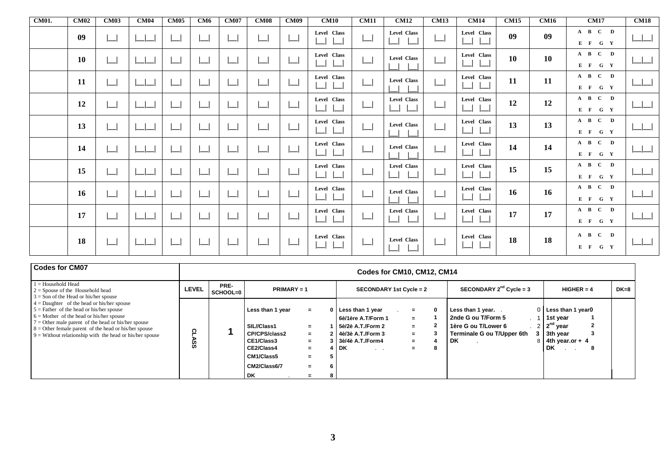| <b>CM01.</b> | <b>CM02</b> | <b>CM03</b>           | <b>CM04</b> | <b>CM05</b> | CM <sub>6</sub>     | <b>CM07</b>              | <b>CM08</b>    | <b>CM09</b>              | <b>CM10</b>                                          | <b>CM11</b>              | <b>CM12</b>                      | <b>CM13</b>                                        | <b>CM14</b>                                                  | <b>CM15</b> | <b>CM16</b> | CM17                                                                                                   | <b>CM18</b>                   |
|--------------|-------------|-----------------------|-------------|-------------|---------------------|--------------------------|----------------|--------------------------|------------------------------------------------------|--------------------------|----------------------------------|----------------------------------------------------|--------------------------------------------------------------|-------------|-------------|--------------------------------------------------------------------------------------------------------|-------------------------------|
|              | 09          | ا—ا                   |             |             |                     | $\boxed{\phantom{a}}$    |                |                          | Level Class<br>$\perp$                               | $\overline{}$            | Level Class                      | $\begin{array}{c} \boxed{\phantom{0}} \end{array}$ | Level Class                                                  | 09          | 09          | $A$ $B$ $C$ $D$<br>$\begin{array}{cccc} \mathbf{E} & \mathbf{F} & \mathbf{G} & \mathbf{Y} \end{array}$ | $\boxed{\phantom{1}}$         |
|              | <b>10</b>   | $\overline{}$         |             | I——I        | I——I                | └─                       | <u>  —  </u>   | ا—ا                      | Level Class<br>$\overline{\phantom{a}}$              | $\overline{\phantom{a}}$ | Level Class                      | <u>  — —  </u>                                     | Level Class                                                  | 10          | 10          | $A$ $B$ $C$ $D$<br>$\begin{array}{cccc} \mathbf{E} & \mathbf{F} & \mathbf{G} & \mathbf{Y} \end{array}$ | $\boxed{\phantom{1}}$         |
|              | <b>11</b>   | $\boxed{\phantom{1}}$ |             |             |                     | <u>  _ _</u>             |                |                          | Level Class<br>$\frac{1}{2}$                         | I__                      | Level Class                      |                                                    | Level Class<br>$\frac{1}{2}$                                 | 11          | 11          | $A$ $B$ $C$ $D$<br>$E$ $F$ $G$ $Y$                                                                     | $\lfloor \rfloor$             |
|              | 12          |                       |             |             | <u>  — —</u>        | └                        | <u>  —  </u>   | ا—ا                      | Level Class<br>$\frac{1}{2}$                         | $I_{\rm max}$            | Level Class                      | <u>  — —  </u>                                     | Level Class                                                  | 12          | 12          | $A$ $B$ $C$ $D$<br>$\begin{array}{cccc} \textbf{E} & \textbf{F} & \textbf{G} & \textbf{Y} \end{array}$ |                               |
|              | 13          |                       |             |             |                     | └─                       |                |                          | Level Class<br>$\frac{1}{2}$                         |                          | Level Class                      |                                                    | Level Class<br>$\overline{a}$                                | 13          | 13          | $A$ $B$ $C$ $D$<br>$\begin{array}{cccc} \mathbf{E} & \mathbf{F} & \mathbf{G} & \mathbf{Y} \end{array}$ | $\Box$                        |
|              | 14          | $\boxed{\phantom{1}}$ |             | └─          | $\lfloor - \rfloor$ | └                        | $I = -I$       | $I = -I$                 | Level Class<br>$\frac{1}{2}$                         | └─                       | Level Class                      | $\boxed{\phantom{1}}$                              | Level Class                                                  | 14          | 14          | $A$ $B$ $C$ $D$<br>$\begin{array}{cccc} \mathbf{E} & \mathbf{F} & \mathbf{G} & \mathbf{Y} \end{array}$ | $\boxed{\phantom{1}}$         |
|              | 15          | └─                    |             |             |                     | └─                       | $I = -I$       | $\overline{\phantom{a}}$ | Level Class<br>$\overline{\phantom{a}}$              | $\overline{\phantom{a}}$ | Level Class<br>$\lfloor \rfloor$ | $\overline{}$                                      | Level Class<br>$\overline{\phantom{a}}$                      | 15          | 15          | $A$ $B$ $C$ $D$<br>$\begin{array}{cccc} \mathbf{E} & \mathbf{F} & \mathbf{G} & \mathbf{Y} \end{array}$ | $\lfloor \rfloor$             |
|              | 16          | اددا                  |             | I___        |                     | └                        | <u>  — —  </u> | ا——ا                     | Level Class<br>$\overline{\phantom{a}}$              | $\overline{\phantom{a}}$ | Level Class                      | $\overline{\phantom{0}}$                           | Level Class                                                  | 16          | 16          | $A$ $B$ $C$ $D$<br>$\begin{array}{cccc} \textbf{E} & \textbf{F} & \textbf{G} & \textbf{Y} \end{array}$ | $\boxed{\underline{\qquad }}$ |
|              | 17          |                       |             |             |                     | $\overline{\phantom{a}}$ | <u>  —  </u>   |                          | Level Class<br>$\lfloor \frac{1}{2} \rfloor$         | $\overline{}$            | Level Class<br>$\lfloor \rfloor$ |                                                    | Level Class<br>$\overline{\phantom{a}}$<br>$\lfloor \rfloor$ | 17          | 17          | $A$ $B$ $C$ $D$<br>$\begin{array}{cccc} \mathbf{E} & \mathbf{F} & \mathbf{G} & \mathbf{Y} \end{array}$ | $\Box$                        |
|              | <b>18</b>   |                       |             |             |                     | └─                       | ا—–ا           |                          | Level Class<br>$\begin{array}{c} \hline \end{array}$ | $\frac{1}{2}$            | Level Class                      | $\lfloor \_ \rfloor$                               | Level Class<br>$\boxed{\phantom{1}}$                         | 18          | 18          | $A$ $B$ $C$ $D$<br>$E$ $F$ $G$ $Y$                                                                     | $\lfloor \rfloor$             |

| <b>Codes for CM07</b>                                                                                                                                                                                                                                                                                                      | Codes for CM10, CM12, CM14 |                  |                                                                                                                                |                                                         |  |                                                                                                                                           |                                             |   |                                                                                                          |                                                                                                                   |        |
|----------------------------------------------------------------------------------------------------------------------------------------------------------------------------------------------------------------------------------------------------------------------------------------------------------------------------|----------------------------|------------------|--------------------------------------------------------------------------------------------------------------------------------|---------------------------------------------------------|--|-------------------------------------------------------------------------------------------------------------------------------------------|---------------------------------------------|---|----------------------------------------------------------------------------------------------------------|-------------------------------------------------------------------------------------------------------------------|--------|
| $=$ Household Head<br>$2 =$ Spouse of the Household head<br>$3 =$ Son of the Head or his/her spouse                                                                                                                                                                                                                        | <b>LEVEL</b>               | PRE-<br>SCHOOL=0 |                                                                                                                                | $PRIMARY = 1$                                           |  | $SECONDARY 1st Cycle = 2$                                                                                                                 |                                             |   | SECONDARY $2^{nd}$ Cycle = 3                                                                             | $HIGHER = 4$                                                                                                      | $DK=8$ |
| $4 =$ Daughter of the head or his/her spouse<br>$5 =$ Father of the head or his/her spouse<br>$6 =$ Mother of the head or his/her spouse<br>$7 =$ Other male parent of the head or his/her spouse<br>$8 =$ Other female parent of the head or his/her spouse<br>$9$ = Without relationship with the head or his/her spouse | o<br>တ္တ                   |                  | Less than 1 year<br>SIL//Class1<br><b>CP/CPS/class2</b><br>CE1/Class3<br>CE2/Class4<br>CM1/Class5<br>CM2/Class6/7<br><b>DK</b> | $=$<br>$\equiv$<br>$=$<br>$=$<br>$=$<br>$\equiv$<br>$=$ |  | 0   Less than 1 year<br>6è/1ère A.T/Form 1<br>∣ 5è/2è A.T./Form 2<br>2 4è/3è A.T./Form 3<br>3 3è/4è A.T./Form4<br>4 I DK<br>$\sim$ $\sim$ | $=$<br>$=$<br>$\equiv$<br>$=$<br>$=$<br>$=$ | 8 | Less than 1 year<br>2nde G ou T/Form 5<br>1ère G ou T/Lower 6<br>Terminale G ou T/Upper 6th<br><b>DK</b> | $0$ Less than 1 year $0$<br>1st year<br>2 <sup>nd</sup> year<br>3th year<br>$3$ 4th year.or + 4<br><b>DK</b><br>8 |        |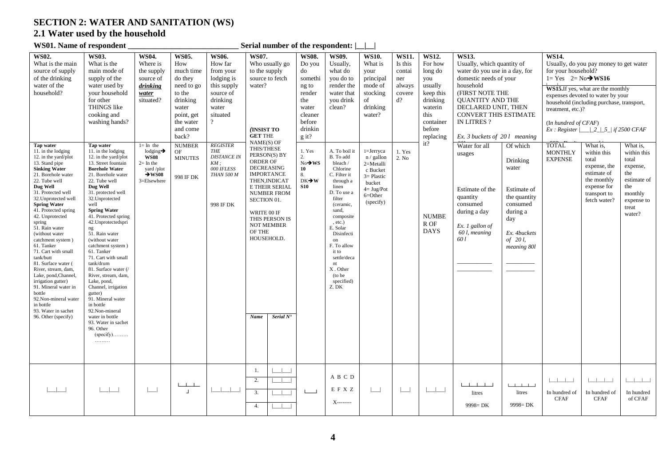# **SECTION 2: WATER AND SANITATION (WS)**

# **2.1 Water used by the household**

## **WS01.** Name of respondent Serial number of the respondent:  $\begin{array}{c} | \text{ } | \text{ } \end{array}$

| <b>WS02.</b><br>What is the main<br>source of supply<br>of the drinking<br>water of the<br>household?                                                                                                                                                                                                                                                                                                                                                                                                                                                                                                       | <b>WS03.</b><br>What is the<br>main mode of<br>supply of the<br>water used by<br>your household<br>for other<br><b>THINGS</b> like<br>cooking and<br>washing hands?                                                                                                                                                                                                                                                                                                                                                                                                                                                                | <b>WS04.</b><br>Where is<br>the supply<br>source of<br>drinking<br>water<br>situated?                                  | <b>WS05.</b><br>How<br>much time<br>do they<br>need to go<br>to the<br>drinking<br>water<br>point, get<br>the water<br>and come<br>back? | WS06.<br>How far<br>from your<br>lodging is<br>this supply<br>source of<br>drinking<br>water<br>situated<br>$\overline{?}$ | WS07.<br>Who usually go<br>to the supply<br>source to fetch<br>water?<br><b>INSIST TO</b><br><b>GET THE</b>                                                                                                                                                                           | <b>WS08.</b><br>Do you<br>do<br>somethi<br>ng to<br>render<br>the<br>water<br>cleaner<br>before<br>drinkin<br>g it? | <b>WS09.</b><br>Usually,<br>what do<br>you do to<br>render the<br>water that<br>you drink<br>clean?                                                                                                                                                                                       | <b>WS10.</b><br>What is<br>your<br>principal<br>mode of<br>stocking<br>of<br>drinking<br>water?                                        | WS11.<br>Is this<br>contai<br>ner<br>always<br>covere<br>$d$ ? | <b>WS12.</b><br>For how<br>long do<br>you<br>usually<br>keep this<br>drinking<br>waterin<br>this<br>container<br>before<br>replacing | <b>WS13.</b><br>Usually, which quantity of<br>water do you use in a day, for<br>domestic needs of your<br>household<br>(FIRST NOTE THE<br><b>OUANTITY AND THE</b><br>DECLARED UNIT. THEN<br><b>CONVERT THIS ESTIMATE</b><br>IN LITRES ?<br>Ex. 3 buckets of 201 meaning                                                                                                                                                                                         |                                                                                                                                        | <b>WS14.</b><br>Usually, do you pay money to get water<br>for your household?<br>$1 = Yes$ $2 = No \rightarrow WS16$<br>WS15.If yes, what are the monthly<br>expenses devoted to water by your<br>household (including purchase, transport,<br>treatment, etc.)?<br>(In hundred of CFAF)<br>$Ex: Register \mid \_ /2 /5 /$ if 2500 CFAF |                                                                                                                               |                                                                                                                       |  |
|-------------------------------------------------------------------------------------------------------------------------------------------------------------------------------------------------------------------------------------------------------------------------------------------------------------------------------------------------------------------------------------------------------------------------------------------------------------------------------------------------------------------------------------------------------------------------------------------------------------|------------------------------------------------------------------------------------------------------------------------------------------------------------------------------------------------------------------------------------------------------------------------------------------------------------------------------------------------------------------------------------------------------------------------------------------------------------------------------------------------------------------------------------------------------------------------------------------------------------------------------------|------------------------------------------------------------------------------------------------------------------------|------------------------------------------------------------------------------------------------------------------------------------------|----------------------------------------------------------------------------------------------------------------------------|---------------------------------------------------------------------------------------------------------------------------------------------------------------------------------------------------------------------------------------------------------------------------------------|---------------------------------------------------------------------------------------------------------------------|-------------------------------------------------------------------------------------------------------------------------------------------------------------------------------------------------------------------------------------------------------------------------------------------|----------------------------------------------------------------------------------------------------------------------------------------|----------------------------------------------------------------|--------------------------------------------------------------------------------------------------------------------------------------|-----------------------------------------------------------------------------------------------------------------------------------------------------------------------------------------------------------------------------------------------------------------------------------------------------------------------------------------------------------------------------------------------------------------------------------------------------------------|----------------------------------------------------------------------------------------------------------------------------------------|-----------------------------------------------------------------------------------------------------------------------------------------------------------------------------------------------------------------------------------------------------------------------------------------------------------------------------------------|-------------------------------------------------------------------------------------------------------------------------------|-----------------------------------------------------------------------------------------------------------------------|--|
| Tap water<br>11. in the lodging<br>12. in the yard/plot<br>13. Stand pipe<br><b>Sinking Water</b><br>21. Borehole water<br>22. Tube well<br>Dug Well<br>31. Protected well<br>32. Unprotected well<br><b>Spring Water</b><br>41. Protected spring<br>42. Unprotected<br>spring<br>51. Rain water<br>(without water<br>catchment system)<br>61. Tanker<br>71. Cart with small<br>tank/butt<br>81. Surface water (<br>River, stream, dam,<br>Lake, pond, Channel,<br>irrigation gutter)<br>91. Mineral water in<br>bottle<br>92. Non-mineral water<br>in bottle<br>93. Water in sachet<br>96. Other (specify) | Tap water<br>11. in the lodging<br>12. in the yard/plot<br>13. Street fountain<br><b>Borehole Water</b><br>21. Borehole water<br>22. Tube well<br>Dug Well<br>31. protected well<br>32. Unprotected<br>well<br><b>Spring Water</b><br>41. Protected spring<br>42. Unprotectedspri<br>ng<br>51. Rain water<br>(without water<br>catchment system)<br>61. Tanker<br>71. Cart with small<br>tank/drum<br>81. Surface water (/<br>River, stream, dam,<br>Lake, pond,<br>Channel, irrigation<br>gutter)<br>91. Mineral water<br>in bottle<br>92. Non-mineral<br>water in bottle<br>93. Water in sachet<br>96. Other<br>$(specify)$<br>. | $l = In$ the<br>lodging $\rightarrow$<br><b>WS08</b><br>$2=$ In the<br>yard /plot<br>$\rightarrow$ WS08<br>3=Elsewhere | <b>NUMBER</b><br>OF<br><b>MINUTES</b><br>998 IF DK                                                                                       | <b>REGISTER</b><br><b>THE</b><br><b>DISTANCE IN</b><br>KM:<br>000 IFLESS<br><b>THAN 500 M</b><br>998 IF DK                 | NAME(S) OF<br>THIS/THESE<br>PERSON(S) BY<br>ORDER OF<br><b>DECREASING</b><br><b>IMPORTANCE</b><br>THEN, INDICAT<br>E THEIR SERIAL<br><b>NUMBER FROM</b><br>SECTION 01.<br>WRITE 00 IF<br>THIS PERSON IS<br><b>NOT MEMBER</b><br>OF THE<br>HOUSEHOLD.<br>Serial N <sup>*</sup><br>Name | 1. Yes<br>2.<br>$No \rightarrow WS$<br>10<br>$DK\rightarrow W$<br><b>S10</b>                                        | A. To boil it<br>B. To add<br>bleach /<br>Chlorine<br>C. Filter it<br>through a<br>linen<br>D. To use a<br>filter<br>(ceramic,<br>sand,<br>composite<br>, etc.)<br>E. Solar<br>Disinfecti<br>on<br>F. To allow<br>it to<br>settle/deca<br>nt<br>X. Other<br>(to be<br>specified)<br>Z. DK | $1 = J$ erryca<br>$n /$ gallon<br>2=Metalli<br>c Bucket<br>$3 =$ Plastic<br>bucket<br>$4 = \text{Jug/Pot}$<br>$6 = Other$<br>(specify) | 1. Yes<br>2. No                                                | it?<br><b>NUMBE</b><br>R OF<br><b>DAYS</b>                                                                                           | Water for all<br>usages<br>Estimate of the<br>quantity<br>consumed<br>during a day<br>$Ex. 1$ gallon of<br>60 l, meaning<br>60 l                                                                                                                                                                                                                                                                                                                                | Of which<br>Drinking<br>water<br>Estimate of<br>the quantity<br>consumed<br>during a<br>day<br>Ex. 4buckets<br>of 20 l.<br>meaning 80l | <b>TOTAL</b><br><b>MONTHLY</b><br><b>EXPENSE</b>                                                                                                                                                                                                                                                                                        | What is,<br>within this<br>total<br>expense, the<br>estimate of<br>the monthly<br>expense for<br>transport to<br>fetch water? | What is,<br>within this<br>total<br>expense,<br>the<br>estimate of<br>the<br>monthly<br>expense to<br>treat<br>water? |  |
|                                                                                                                                                                                                                                                                                                                                                                                                                                                                                                                                                                                                             | $\vert \cdot \vert$                                                                                                                                                                                                                                                                                                                                                                                                                                                                                                                                                                                                                |                                                                                                                        | كالطاكا<br>$\blacksquare$                                                                                                                |                                                                                                                            | $\blacksquare$<br>1.<br>2.<br>3.<br>4.                                                                                                                                                                                                                                                |                                                                                                                     | A B C D<br>EFXZ<br>X--------                                                                                                                                                                                                                                                              | $\Box$                                                                                                                                 | $\lfloor \_ \rfloor$                                           | $\Box$                                                                                                                               | $\begin{tabular}{c} \quad \quad \textcolor{blue}{\textbf{L}} \textbf{L} \textbf{L} \textbf{L} \textbf{L} \textbf{L} \textbf{L} \textbf{L} \textbf{L} \textbf{L} \textbf{L} \textbf{L} \textbf{L} \textbf{L} \textbf{L} \textbf{L} \textbf{L} \textbf{L} \textbf{L} \textbf{L} \textbf{L} \textbf{L} \textbf{L} \textbf{L} \textbf{L} \textbf{L} \textbf{L} \textbf{L} \textbf{L} \textbf{L} \textbf{L} \textbf{L} \textbf{L} \textbf{$<br>litres<br>$9998 = DK$ | المساحل المساحي<br>litres<br>$9998 = DK$                                                                                               | <b>Controller</b><br>In hundred of<br><b>CFAF</b>                                                                                                                                                                                                                                                                                       | الطائعات<br>In hundred of<br><b>CFAF</b>                                                                                      | $L_{\rm{max}}$<br>In hundred<br>of CFAF                                                                               |  |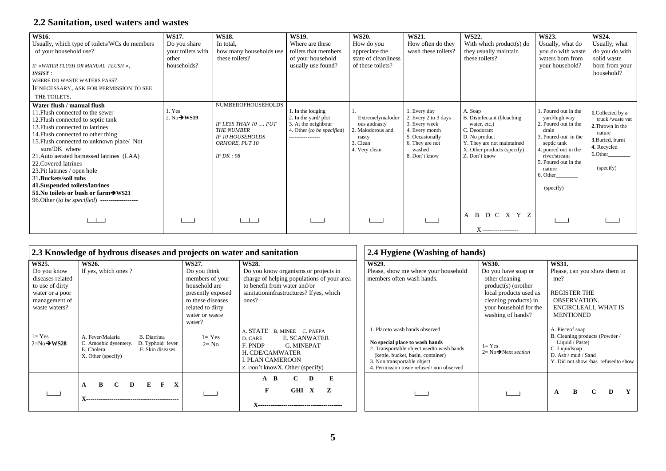# **2.2 Sanitation, used waters and wastes**

| WS16.<br>Usually, which type of toilets/WCs do members<br>of your household use?<br>IF «WATER FLUSH OR MANUAL FLUSH »,<br><i><b>INSIST:</b></i><br>WHERE DO WASTE WATERS PASS?<br>IF NECESSARY, ASK FOR PERMISSION TO SEE<br>THE TOILETS.                                                                                                                                                                                                                                                            | WS17.<br>Do you share<br>your toilets with<br>other<br>households? | <b>WS18.</b><br>In total,<br>how many households use<br>these toilets?                                                          | WS19.<br>Where are these<br>toilets that members<br>of your household<br>usually use found?       | <b>WS20.</b><br>How do you<br>appreciate the<br>state of cleanliness<br>of these toilets?   | WS21.<br>How often do they<br>wash these toilets?                                                                                        | WS22.<br>With which product(s) do<br>they usually maintain<br>these toilets?                                                                                         | WS23.<br>Usually, what do<br>you do with waste<br>waters born from<br>your household?                                                                                                                            | WS24.<br>Usually, what<br>do you do with<br>solid waste<br>born from your<br>household?                                       |
|------------------------------------------------------------------------------------------------------------------------------------------------------------------------------------------------------------------------------------------------------------------------------------------------------------------------------------------------------------------------------------------------------------------------------------------------------------------------------------------------------|--------------------------------------------------------------------|---------------------------------------------------------------------------------------------------------------------------------|---------------------------------------------------------------------------------------------------|---------------------------------------------------------------------------------------------|------------------------------------------------------------------------------------------------------------------------------------------|----------------------------------------------------------------------------------------------------------------------------------------------------------------------|------------------------------------------------------------------------------------------------------------------------------------------------------------------------------------------------------------------|-------------------------------------------------------------------------------------------------------------------------------|
| Water flush / manual flush<br>11. Flush connected to the sewer<br>12. Flush connected to septic tank<br>13. Flush connected to latrines<br>14. Flush connected to other thing<br>15. Flush connected to unknown place/ Not<br>sure/DK where<br>21. Auto aerated harnessed latrines (LAA)<br>22. Covered latrines<br>23. Pit latrines / open hole<br>31. Buckets/soil tubs<br>41.Suspended toilets/latrines<br>51. No toilets or bush or farm→ WS23<br>96. Other (to be specified) ------------------ | l. Yes<br>2. $No \rightarrow WSI9$                                 | <b>NUMBEROFHOUSEHOLDS</b><br>IF LESS THAN 10  PUT<br><b>THE NUMBER</b><br><b>IF 10 HOUSEHOLDS</b><br>ORMORE, PUT 10<br>IFDK: 98 | 1. In the lodging<br>2. In the yard/plot<br>3. At the neighbour<br>4. Other (to be specified)<br> | Extremelymalodor<br>ous andnasty<br>2. Malodorous and<br>nasty<br>3. Clean<br>4. Very clean | 1. Every day<br>2. Every 2 to 3 days<br>3. Every week<br>4. Every month<br>5. Occasionally<br>6. They are not<br>washed<br>8. Don't know | A. Soap<br>B. Disinfectant (bleaching<br>water, etc.)<br>C. Deodorant<br>D. No product<br>Y. They are not maintained<br>X. Other products (specify)<br>Z. Don't know | 1. Poured out in the<br>yard/high way<br>2. Poured out in the<br>drain<br>3. Poured out in the<br>septic tank<br>4. poured out in the<br>river/stream<br>5. Poured out in the<br>nature<br>6. Other<br>(specify) | 1. Collected by a<br>truck /waste vat<br>2. Thrown in the<br>nature<br>3.Buried, burnt<br>4. Recycled<br>6.Other<br>(specify) |
|                                                                                                                                                                                                                                                                                                                                                                                                                                                                                                      |                                                                    |                                                                                                                                 |                                                                                                   |                                                                                             |                                                                                                                                          | A B D C X Y Z<br>$X$ ------------------                                                                                                                              |                                                                                                                                                                                                                  |                                                                                                                               |

|                                                                                                                  | 2.3 Knowledge of hydrous diseases and projects on water and sanitation                                                               |                                                                                                                                                     |                                                                                                                                                                                        | 2.4 Hygiene (Washing of hands)                                                                                                                                                                                               |                                                                                                                                                                                  |                                                                                                                                                      |  |  |  |  |
|------------------------------------------------------------------------------------------------------------------|--------------------------------------------------------------------------------------------------------------------------------------|-----------------------------------------------------------------------------------------------------------------------------------------------------|----------------------------------------------------------------------------------------------------------------------------------------------------------------------------------------|------------------------------------------------------------------------------------------------------------------------------------------------------------------------------------------------------------------------------|----------------------------------------------------------------------------------------------------------------------------------------------------------------------------------|------------------------------------------------------------------------------------------------------------------------------------------------------|--|--|--|--|
| WS25.<br>Do you know<br>diseases related<br>to use of dirty<br>water or a poor<br>management of<br>waste waters? | <b>WS26.</b><br>If yes, which ones?                                                                                                  | WS27.<br>Do you think<br>members of your<br>household are<br>presently exposed<br>to these diseases<br>related to dirty<br>water or waste<br>water? | <b>WS28.</b><br>Do you know organisms or projects in<br>charge of helping populations of your area<br>to benefit from water and/or<br>sanitationinfrastructures? Ifyes, which<br>ones? | WS29.<br>Please, show me where your household<br>members often wash hands.                                                                                                                                                   | <b>WS30.</b><br>Do you have soap or<br>other cleaning<br>$product(s)$ (orother<br>local products used as<br>cleaning products) in<br>your household for the<br>washing of hands? | WS31.<br>Please, can you show them to<br>me?<br><b>REGISTER THE</b><br><b>OBSERVATION.</b><br><b>ENCIRCLEALL WHAT IS</b><br><b>MENTIONED</b>         |  |  |  |  |
| $1 = Yes$<br>$2=N_0 \rightarrow W S 28$                                                                          | A. Fever/Malaria<br>B. Diarrhea<br>C. Amoebic dysentery.<br>D. Typhoid fever<br>E. Cholera<br>F. Skin diseases<br>X. Other (specify) | $1 = Yes$<br>$2 = No$                                                                                                                               | A. STATE<br>B. MINEE C. PAEPA<br><b>E. SCANWATER</b><br>D. CARE<br>F. PNDP<br><b>G. MINEPAT</b><br>H. CDE/CAMWATER<br>I. PLAN CAMEROON<br>Z. Don't knowX. Other (specify)              | Placeto wash hands observed<br>No special place to wash hands<br>2. Transportable object used to wash hands<br>(kettle, bucket, basin, container)<br>3. Non transportable object<br>4. Permission tosee refused/non observed | $l = Yes$<br>$2 = No \rightarrow$ Next section                                                                                                                                   | A. Pieceof soap<br>B. Cleaning products (Powder /<br>Liquid / Paste)<br>C. Liquidsoap<br>D. Ash / mud / Sand<br>Y. Did not show /has refused to show |  |  |  |  |
|                                                                                                                  | $\mathbf C$<br>E<br>$\mathbf{X}$<br>B<br>D                                                                                           |                                                                                                                                                     | C<br>E<br>$A$ $B$<br>D<br>F<br>GHI X                                                                                                                                                   |                                                                                                                                                                                                                              |                                                                                                                                                                                  | B<br>$\mathbf C$<br>D<br>$\mathbf{A}$                                                                                                                |  |  |  |  |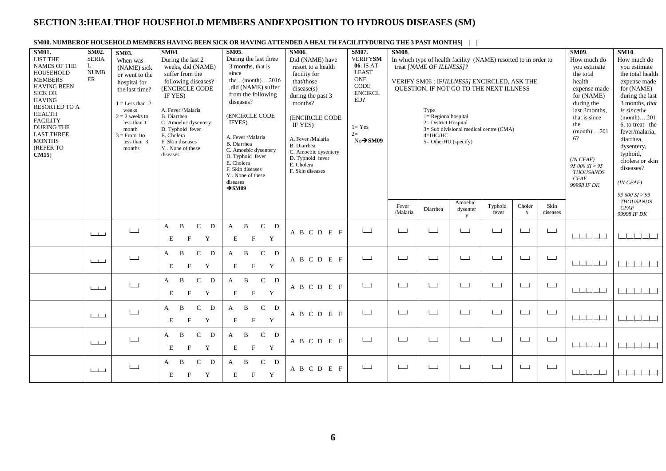# **SECTION 3:HEALTHOF HOUSEHOLD MEMBERS ANDEXPOSITION TO HYDROUS DISEASES (SM)**

| SM01.<br><b>LIST THE</b><br><b>NAMES OF THE</b><br>HOUSEHOLD<br><b>MEMBERS</b><br><b>HAVING BEEN</b><br><b>SICK OR</b><br><b>HAVING</b><br><b>RESORTED TO A</b><br><b>HEALTH</b><br><b>FACILITY</b><br><b>DURING THE</b><br><b>LAST THREE</b><br><b>MONTHS</b><br>(REFER TO<br>CM15 | $SM02$ .<br><b>SERIA</b><br>L<br><b>NUMB</b><br>ER | SM03.<br>When was<br>(NAME) sick<br>or went to the<br>hospital for<br>the last time?<br>$1 =$ Less than 2<br>weeks<br>$2 = 2$ weeks to<br>less than 1<br>month<br>$3 =$ From 1to<br>less than $3$<br>months | SM04.<br>During the last 2<br>weeks, did (NAME)<br>suffer from the<br>following diseases?<br><b>(ENCIRCLE CODE</b><br>IF YES)<br>A. Fever /Malaria<br>B. Diarrhea<br>C. Amoebic dysentery<br>D. Typhoid fever<br>E. Cholera<br>F. Skin diseases<br>Y., None of these<br>diseases | <b>SM05.</b><br>During the last three<br>3 months, that is<br>since<br>the $(month)$ 2016<br>,did (NAME) suffer<br>from the following<br>diseases?<br>(ENCIRCLE CODE<br>IFYES)<br>A. Fever /Malaria<br>B. Diarrhea<br>C. Amoebic dysentery<br>D. Typhoid fever<br>E. Cholera<br>F. Skin diseases<br>Y None of these<br>diseases<br>$\rightarrow$ SM09 | SM06.<br>Did (NAME) have<br>resort to a health<br>facility for<br>that/those<br>disease(s)<br>during the past 3<br>months?<br>(ENCIRCLE CODE<br>IF YES)<br>A. Fever /Malaria<br>B. Diarrhea<br>C. Amoebic dysentery<br>D. Typhoid fever<br>E. Cholera<br>F. Skin diseases | SM07.<br><b>VERIFYSM</b><br>06: IS AT<br><b>LEAST</b><br><b>ONE</b><br>$\rm{CODE}$<br><b>ENCIRCL</b><br>ED?<br>$1 = Yes$<br>$2=$<br>$No \rightarrow SM09$ | <b>SM08.</b>      | In which type of health facility (NAME) resorted to in order to<br>treat [NAME OF ILLNESS]?<br>VERIFY SM06 : IF/ILLNESS/ ENCIRCLED, ASK THE<br><b>OUESTION, IF NOT GO TO THE NEXT ILLNESS</b><br>Type<br>$l = Regional hospital$<br>2= District Hospital<br>$3 =$ Sub divisional medical centre (CMA)<br>$4=IHC/HC$<br>$5 =$ OtherHU (specify) |                                     |                          |                                       | SM09.<br>How much do<br>you estimate<br>the total<br>health<br>expense made<br>for (NAME)<br>during the<br>last 3months.<br>that is since<br>the<br>$(month)$ 201<br>6 <sup>2</sup><br>$(IN \, CFAF)$<br>95 000 $SI \ge 95$<br><b>THOUSANDS</b><br>CFAF<br>99998 IF DK | <b>SM10.</b><br>How much do<br>vou estimate<br>the total health<br>expense made<br>for (NAME)<br>during the last<br>3 months, that<br>is since the<br>$(month)$ 201<br>6, to treat the<br>fever/malaria.<br>diarrhea.<br>dysentery,<br>typhoid,<br>cholera or skin<br>diseases?<br>$(IN \, CFAF)$<br>95 000 $SI \ge 95$ |                                                |
|-------------------------------------------------------------------------------------------------------------------------------------------------------------------------------------------------------------------------------------------------------------------------------------|----------------------------------------------------|-------------------------------------------------------------------------------------------------------------------------------------------------------------------------------------------------------------|----------------------------------------------------------------------------------------------------------------------------------------------------------------------------------------------------------------------------------------------------------------------------------|-------------------------------------------------------------------------------------------------------------------------------------------------------------------------------------------------------------------------------------------------------------------------------------------------------------------------------------------------------|---------------------------------------------------------------------------------------------------------------------------------------------------------------------------------------------------------------------------------------------------------------------------|-----------------------------------------------------------------------------------------------------------------------------------------------------------|-------------------|------------------------------------------------------------------------------------------------------------------------------------------------------------------------------------------------------------------------------------------------------------------------------------------------------------------------------------------------|-------------------------------------|--------------------------|---------------------------------------|------------------------------------------------------------------------------------------------------------------------------------------------------------------------------------------------------------------------------------------------------------------------|-------------------------------------------------------------------------------------------------------------------------------------------------------------------------------------------------------------------------------------------------------------------------------------------------------------------------|------------------------------------------------|
|                                                                                                                                                                                                                                                                                     |                                                    |                                                                                                                                                                                                             |                                                                                                                                                                                                                                                                                  |                                                                                                                                                                                                                                                                                                                                                       |                                                                                                                                                                                                                                                                           |                                                                                                                                                           | Fever<br>/Malaria | Diarrhea                                                                                                                                                                                                                                                                                                                                       | Amoebic<br>dysenter<br>$\mathbf{V}$ | Typhoid<br>fever         | Choler<br>a                           | Skin<br>diseases                                                                                                                                                                                                                                                       |                                                                                                                                                                                                                                                                                                                         | <b>THOUSANDS</b><br><b>CFAF</b><br>99998 IF DK |
|                                                                                                                                                                                                                                                                                     | $\Box$                                             | $\Box$                                                                                                                                                                                                      | $\mathcal{C}$<br>$\mathbf B$<br>D<br>$\mathbf{A}$<br>E<br>F<br>Y                                                                                                                                                                                                                 | $\mathbf{C}$<br>D<br>B<br>A<br>E<br>F<br>Y                                                                                                                                                                                                                                                                                                            | A B C D E F                                                                                                                                                                                                                                                               | لسيا                                                                                                                                                      | $\Box$            | لمسا                                                                                                                                                                                                                                                                                                                                           | ا سا                                | $\Box$                   | $\Box$                                | لسا                                                                                                                                                                                                                                                                    |                                                                                                                                                                                                                                                                                                                         |                                                |
|                                                                                                                                                                                                                                                                                     | $L_{\perp}$                                        | $\Box$                                                                                                                                                                                                      | $\mathbf C$<br>$\mathbf{B}$<br>D<br>A<br>$\mathbf E$<br>$\mathbf{F}$<br>Y                                                                                                                                                                                                        | $\mathsf{C}$<br>$\mathbf{B}$<br>D<br>A<br>E<br>$\mathbf{F}$<br>Y                                                                                                                                                                                                                                                                                      | A B C D E F                                                                                                                                                                                                                                                               | لمسا                                                                                                                                                      | $\Box$            | لمسا                                                                                                                                                                                                                                                                                                                                           | لــــا                              | $\Box$                   | $\overline{\phantom{0}}$              | $\Box$                                                                                                                                                                                                                                                                 |                                                                                                                                                                                                                                                                                                                         | $\Box$                                         |
|                                                                                                                                                                                                                                                                                     | $L_{\perp}$                                        | $\Box$                                                                                                                                                                                                      | $\mathbf C$<br>$\mathbf{B}$<br>D<br>$\mathbf{A}$<br>F<br>Y<br>E                                                                                                                                                                                                                  | $\mathbf C$<br>$\mathbf{B}$<br>D<br>A<br>$\mathbf F$<br>Y<br>E                                                                                                                                                                                                                                                                                        | A B C D E F                                                                                                                                                                                                                                                               | لسيا                                                                                                                                                      | $\Box$            | لمسا                                                                                                                                                                                                                                                                                                                                           | المسا                               | $\overline{\phantom{0}}$ | $\overline{\phantom{0}}$              | $\Box$                                                                                                                                                                                                                                                                 |                                                                                                                                                                                                                                                                                                                         | $\Box$                                         |
|                                                                                                                                                                                                                                                                                     | $\Box$                                             | $\Box$                                                                                                                                                                                                      | $\mathbf{B}$<br>$\mathbf C$<br>D<br>A<br>$\mathbf E$<br>Y<br>$\mathbf{F}$                                                                                                                                                                                                        | $\, {\bf B}$<br>$\mathsf{C}$<br>D<br>A<br>$\mathbf E$<br>$\mathbf F$<br>Y                                                                                                                                                                                                                                                                             | A B C D E F                                                                                                                                                                                                                                                               | لسا                                                                                                                                                       | $\Box$            | لمسا                                                                                                                                                                                                                                                                                                                                           | $\sim$ 1                            | $\mathbf{L}$             | $\Box$                                | $\sqcup$                                                                                                                                                                                                                                                               |                                                                                                                                                                                                                                                                                                                         | $\pm 1 + 1$                                    |
|                                                                                                                                                                                                                                                                                     | $\Box$                                             | لحسا                                                                                                                                                                                                        | $\mathsf{C}$<br>$\mathbf{B}$<br>D<br>A<br>Y<br>$\mathbf E$<br>$\mathbf{F}$                                                                                                                                                                                                       | $\mathbf C$<br>B<br>D<br>A<br>$\mathbf F$<br>Y<br>E                                                                                                                                                                                                                                                                                                   | A B C D E F                                                                                                                                                                                                                                                               | لحسا                                                                                                                                                      | $\Box$            | لمسا                                                                                                                                                                                                                                                                                                                                           | لمسا                                | $\Box$                   | لسا                                   | لسا                                                                                                                                                                                                                                                                    | البابانياتيا                                                                                                                                                                                                                                                                                                            | 111111                                         |
|                                                                                                                                                                                                                                                                                     | $\Box$                                             | $\Box$                                                                                                                                                                                                      | $\mathbf C$<br>$\mathbf{B}$<br>D<br>A<br>F<br>Y<br>E                                                                                                                                                                                                                             | $\mathbf{C}$<br>B<br>D<br>A<br>E<br>$\mathbf{F}$<br>Y                                                                                                                                                                                                                                                                                                 | A B C D E F                                                                                                                                                                                                                                                               | لـــا                                                                                                                                                     | لحطا              | لسا                                                                                                                                                                                                                                                                                                                                            | $\overline{\phantom{a}}$            | لـــا                    | $\begin{array}{c} \hline \end{array}$ | لـــا                                                                                                                                                                                                                                                                  |                                                                                                                                                                                                                                                                                                                         |                                                |

#### SM00. NUMBEROF HOUSEHOLD MEMBERS HAVING BEEN SICK OR HAVING ATTENDED A HEALTH FACILITYDURING THE 3 PAST MONTHS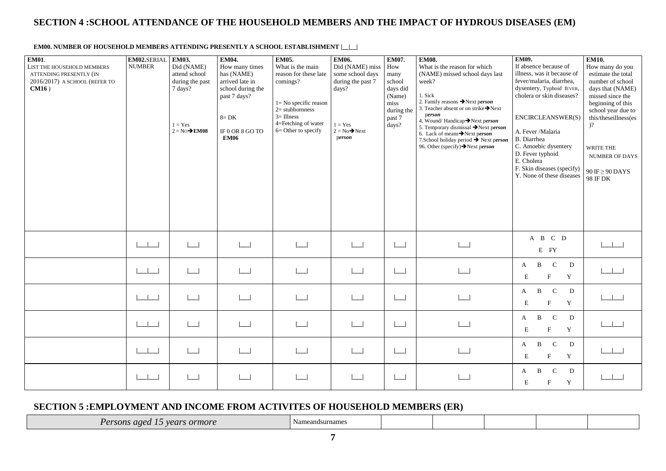# **SECTION 4 :SCHOOL ATTENDANCE OF THE HOUSEHOLD MEMBERS AND THE IMPACT OF HYDROUS DISEASES (EM)**

#### **EM00. NUMBER OF HOUSEHOLD MEMBERS ATTENDING PRESENTLY A SCHOOL ESTABLISHMENT |\_\_|\_\_|**

| <b>EM01.</b><br>LIST THE HOUSEHOLD MEMBERS<br>ATTENDING PRESENTLY (IN<br>2016/2017) A SCHOOL (REFER TO<br>$CM16$ ) | EM02.SERIAL<br><b>NUMBER</b> | <b>EM03.</b><br>Did (NAME)<br>attend school<br>during the past<br>7 days?<br>$1 = Yes$<br>$2 = No \rightarrow EM08$ | <b>EM04.</b><br>How many times<br>has (NAME)<br>arrived late in<br>school during the<br>past 7 days?<br>$8 = DK$<br>IF 0 OR 8 GO TO<br><b>EM06</b> | <b>EM05.</b><br>What is the main<br>reason for these late<br>comings?<br>1= No specific reason<br>$2 =$ stubbornness<br>$3 =$ Illness<br>4=Fetching of water<br>$6=$ Other to specify | EM06.<br>Did (NAME) miss<br>some school days<br>during the past 7<br>days?<br>$1 = Yes$<br>$2 = No \rightarrow Next$<br>person | EM07.<br>How<br>many<br>school<br>days did<br>(Name)<br>miss<br>during the<br>past 7<br>days? | <b>EM08.</b><br>What is the reason for which<br>(NAME) missed school days last<br>week?<br>1. Sick<br>2. Family reasons $\rightarrow$ Next person<br>3. Teacher absent or on strike → Next<br>person<br>4. Wound/Handicap $\rightarrow$ Next person<br>5. Temporary dismissal $\rightarrow$ Next person<br>6. Lack of means $\rightarrow$ Next person<br>7. School holiday period $\rightarrow$ Next person<br>96. Other (specify) $\rightarrow$ Next person | <b>EM09.</b><br>If absence because of<br>illness, was it because of<br>fever/malaria, diarrhea,<br>dysentery, Typhoid fEVER,<br>cholera or skin diseases?<br>ENCIRCLEANSWER(S)<br>A. Fever /Malaria<br>B. Diarrhea<br>C. Amoebic dysentery<br>D. Fever typhoid<br>E. Cholera<br>F. Skin diseases (specify)<br>Y. None of these diseases | <b>EM10.</b><br>How many do you<br>estimate the total<br>number of school<br>days that (NAME)<br>missed since the<br>beginning of this<br>school year due to<br>this/theseillness(es<br>$)$ ?<br>WRITE THE<br><b>NUMBER OF DAYS</b><br>$90$ IF $\geq 90$ DAYS<br>98 IF DK |
|--------------------------------------------------------------------------------------------------------------------|------------------------------|---------------------------------------------------------------------------------------------------------------------|----------------------------------------------------------------------------------------------------------------------------------------------------|---------------------------------------------------------------------------------------------------------------------------------------------------------------------------------------|--------------------------------------------------------------------------------------------------------------------------------|-----------------------------------------------------------------------------------------------|--------------------------------------------------------------------------------------------------------------------------------------------------------------------------------------------------------------------------------------------------------------------------------------------------------------------------------------------------------------------------------------------------------------------------------------------------------------|-----------------------------------------------------------------------------------------------------------------------------------------------------------------------------------------------------------------------------------------------------------------------------------------------------------------------------------------|---------------------------------------------------------------------------------------------------------------------------------------------------------------------------------------------------------------------------------------------------------------------------|
|                                                                                                                    | $\blacksquare$               |                                                                                                                     |                                                                                                                                                    |                                                                                                                                                                                       | $\sim$ 1                                                                                                                       | $\overline{\phantom{0}}$                                                                      |                                                                                                                                                                                                                                                                                                                                                                                                                                                              | A B C D<br>$\mathbf{E}-\mathbf{F}\mathbf{Y}$                                                                                                                                                                                                                                                                                            |                                                                                                                                                                                                                                                                           |
|                                                                                                                    |                              |                                                                                                                     |                                                                                                                                                    |                                                                                                                                                                                       | $\sim$ 1                                                                                                                       | $\overline{\phantom{a}}$                                                                      |                                                                                                                                                                                                                                                                                                                                                                                                                                                              | B<br>$\mathsf{C}$<br>D<br>A<br>$\mathbf{F}$<br>E<br>Y                                                                                                                                                                                                                                                                                   |                                                                                                                                                                                                                                                                           |
|                                                                                                                    |                              |                                                                                                                     |                                                                                                                                                    |                                                                                                                                                                                       |                                                                                                                                | $\Box$                                                                                        |                                                                                                                                                                                                                                                                                                                                                                                                                                                              | $\mathbf C$<br>B<br>D<br>A<br>E<br>$\mathbf F$<br>Y                                                                                                                                                                                                                                                                                     |                                                                                                                                                                                                                                                                           |
|                                                                                                                    |                              |                                                                                                                     |                                                                                                                                                    |                                                                                                                                                                                       |                                                                                                                                | - 1                                                                                           |                                                                                                                                                                                                                                                                                                                                                                                                                                                              | B<br>$\mathcal{C}$<br>D<br>A<br>E<br>F<br>Y                                                                                                                                                                                                                                                                                             |                                                                                                                                                                                                                                                                           |
|                                                                                                                    |                              |                                                                                                                     |                                                                                                                                                    |                                                                                                                                                                                       |                                                                                                                                | $\Box$                                                                                        |                                                                                                                                                                                                                                                                                                                                                                                                                                                              | $\, {\bf B}$<br>$\mathcal{C}$<br>D<br>A<br>F<br>Y<br>E                                                                                                                                                                                                                                                                                  |                                                                                                                                                                                                                                                                           |
|                                                                                                                    |                              |                                                                                                                     |                                                                                                                                                    |                                                                                                                                                                                       |                                                                                                                                | $\Box$                                                                                        |                                                                                                                                                                                                                                                                                                                                                                                                                                                              | B<br>$\mathsf{C}$<br>D<br>A<br>F<br>Y<br>E                                                                                                                                                                                                                                                                                              |                                                                                                                                                                                                                                                                           |

# **SECTION 5 :EMPLOYMENT AND INCOME FROM ACTIVITES OF HOUSEHOLD MEMBERS (ER)**

| <i>ormore</i><br><i>vears</i><br>1000<br>$.$ son $\cdot$ | eandsurnames<br>∖ame |  |  |  |  |  |
|----------------------------------------------------------|----------------------|--|--|--|--|--|
|----------------------------------------------------------|----------------------|--|--|--|--|--|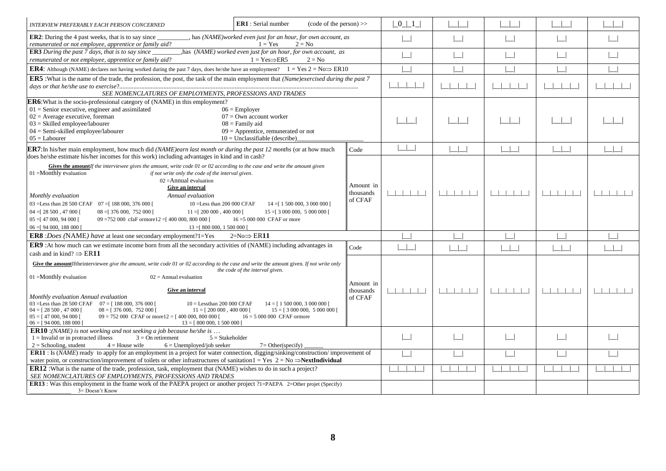| ER1 : Serial number<br>$(code of the person)$ >><br>INTERVIEW PREFERABLY EACH PERSON CONCERNED                                                                                                                                                                                                                                                                                                                                                                                                                                                                                                                        |                                                                                                                                                |          |                                   | $\lfloor 0 \rfloor \lfloor 1 \rfloor$ |                                  |                       |                       |  |
|-----------------------------------------------------------------------------------------------------------------------------------------------------------------------------------------------------------------------------------------------------------------------------------------------------------------------------------------------------------------------------------------------------------------------------------------------------------------------------------------------------------------------------------------------------------------------------------------------------------------------|------------------------------------------------------------------------------------------------------------------------------------------------|----------|-----------------------------------|---------------------------------------|----------------------------------|-----------------------|-----------------------|--|
| , has (NAME)worked even just for an hour, for own account, as<br><b>ER2</b> : During the 4 past weeks, that is to say since<br>remunerated or not employee, apprentice or family aid?<br>$1 = Yes$<br>$2 = No$                                                                                                                                                                                                                                                                                                                                                                                                        |                                                                                                                                                |          |                                   | └┘                                    |                                  |                       |                       |  |
| <b>ER3</b> During the past 7 days, that is to say since<br>remunerated or not employee, apprentice or family aid?                                                                                                                                                                                                                                                                                                                                                                                                                                                                                                     | has (NAME) worked even just for an hour, for own account, as<br>$1 = Yes \Rightarrow ER5$                                                      | $2 = No$ |                                   |                                       | $\vert \ \ \vert$                | $\boxed{\phantom{1}}$ | $\boxed{\phantom{1}}$ |  |
| <b>ER4:</b> Although (NAME) declares not having worked during the past 7 days, does he/she have an employment? $1 = Yes 2 = No \Rightarrow ER10$                                                                                                                                                                                                                                                                                                                                                                                                                                                                      |                                                                                                                                                |          |                                   |                                       |                                  |                       |                       |  |
| <b>ER5</b> : What is the name of the trade, the profession, the post, the task of the main employment that (Name)exercised during the past 7<br>SEE NOMENCLATURES OF EMPLOYMENTS, PROFESSIONS AND TRADES                                                                                                                                                                                                                                                                                                                                                                                                              |                                                                                                                                                |          |                                   | $\perp$                               | $\mathbf{1}$<br>$\Box$           | 1 1 1 1               | $\Box$                |  |
| ER6: What is the socio-professional category of (NAME) in this employment?<br>$01$ = Senior executive, engineer and assimilated<br>$02$ = Average executive, foreman<br>$03 = Skilled employee/labourer$<br>$04 =$ Semi-skilled employee/labourer<br>$05 =$ Labourer                                                                                                                                                                                                                                                                                                                                                  | $06 =$ Employer<br>$07 =$ Own account worker<br>$08 =$ Family aid<br>$09$ = Apprentice, remunerated or not<br>$10 =$ Unclassifiable (describe) |          |                                   |                                       |                                  |                       |                       |  |
| ER7:In his/her main employment, how much did (NAME)earn last month or during the past 12 months (or at how much<br>does he/she estimate his/her incomes for this work) including advantages in kind and in cash?                                                                                                                                                                                                                                                                                                                                                                                                      |                                                                                                                                                |          | Code                              |                                       | $\begin{array}{ccc} \end{array}$ |                       |                       |  |
| Gives the amount <i>If the interviewee gives the amount, write code 01 or 02 according to the case and write the amount given</i><br>$01 =$ Monthly evaluation<br>if not write only the code of the interval given.<br>$02 =$ Annual evaluation<br>Give an interval<br>Monthly evaluation<br>Annual evaluation<br>03 = Less than 28 500 CFAF 07 = [188 000, 376 000 [<br>10 = Less than 200 000 CFAF<br>$04 = 28500, 47000$<br>$08 = 376000, 752000$<br>$11 = [200000, 400000]$<br>$05 = 47000, 94000$<br>09 = 752 000 cfaF ormore $12 = 1400000$ , 800 000 [<br>$06 = 94 000, 188 000$<br>$13 = [800 000, 1500 000]$ | $14 = 1500000, 3000000$<br>$15 = 3000000, 5000000$<br>$16 = 5000000$ CFAF or more                                                              |          | Amount in<br>thousands<br>of CFAF | 11111                                 | 1 1 1 1 1 1                      | 1 1 1 1 1 1 1         | 1 1 1 1 1 1           |  |
| <b>ER8</b> :Does (NAME) have at least one secondary employment?1=Yes                                                                                                                                                                                                                                                                                                                                                                                                                                                                                                                                                  | $2=No \Rightarrow ER11$                                                                                                                        |          |                                   |                                       |                                  |                       |                       |  |
| <b>ER9</b> : At how much can we estimate income born from all the secondary activities of (NAME) including advantages in<br>cash and in kind? $\Rightarrow$ ER11                                                                                                                                                                                                                                                                                                                                                                                                                                                      |                                                                                                                                                |          | Code                              | $\vert \vert$ $\vert$ $\vert$         | $\vert \vert$ $\vert$ $\vert$    | $\sim$ 1.000          | $\mathbf{L}$          |  |
| Give the amountIftheinterviewee give the amount, write code 01 or 02 according to the case and write the amount given. If not write only<br>$01 =$ Monthly evaluation<br>$02$ = Annual evaluation<br>Give an interval<br>Monthly evaluation Annual evaluation                                                                                                                                                                                                                                                                                                                                                         | the code of the interval given.                                                                                                                |          | Amount in<br>thousands<br>of CFAF | 11111                                 |                                  | $\mathbf{1}$          |                       |  |
| 03 = Less than 28 500 CFAF $07 = [188 000, 376 000]$<br>$10 =$ Lessthan 200 000 CFAF<br>$04 =$ [ 28 500, 47 000 [<br>$08 =$ [ 376 000, 752 000 [<br>$11 = [200 000, 400 000]$<br>$05 = [47, 000, 94, 000]$<br>$09 = 752000$ CFAF or more $12 = [400000, 800000]$<br>$06 =$ [94 000, 188 000 ]<br>$13 = [800 000, 1500 000]$                                                                                                                                                                                                                                                                                           | $14 = 1500000, 3000000$<br>$15 = [3\ 000\ 000, 5\ 000\ 000]$<br>$16 = 5000000$ CFAF ormore                                                     |          |                                   |                                       |                                  |                       |                       |  |
| <b>ER10</b> : (NAME) is not working and not seeking a job because he/she is<br>$1 =$ Invalid or in protracted illness<br>$3 =$ On retirement<br>$5 =$ Stakeholder<br>$2 =$ Schooling, student<br>$4 =$ House wife<br>$6 =$ Unemployed/job seeker                                                                                                                                                                                                                                                                                                                                                                      | $7 = Other(specific)$                                                                                                                          |          |                                   | $\Box$                                |                                  |                       |                       |  |
| <b>ER11</b> : Is (NAME) ready to apply for an employment in a project for water connection, digging/sinking/construction/ improvement of<br>water point, or construction/improvement of toilets or other infrastructures of sanitation $1 = Yes$ $2 = No \Rightarrow NextIndividual$                                                                                                                                                                                                                                                                                                                                  |                                                                                                                                                |          |                                   |                                       |                                  |                       | $\vert \ \ \vert$     |  |
| <b>ER12</b> : What is the name of the trade, profession, task, employment that (NAME) wishes to do in such a project?<br>SEE NOMENCLATURES OF EMPLOYMENTS, PROFESSIONS AND TRADES                                                                                                                                                                                                                                                                                                                                                                                                                                     |                                                                                                                                                |          |                                   |                                       |                                  |                       |                       |  |
| <b>ER13</b> : Was this employment in the frame work of the PAEPA project or another project ?1=PAEPA 2=Other projet (Specify)<br>3= Doesn't Know                                                                                                                                                                                                                                                                                                                                                                                                                                                                      |                                                                                                                                                |          |                                   |                                       |                                  |                       |                       |  |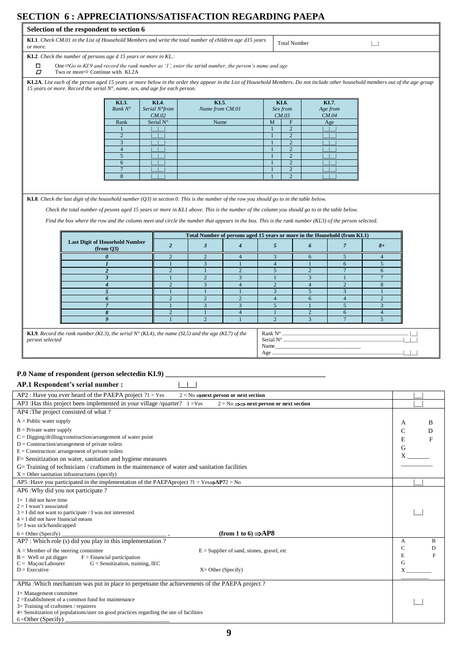|                     | Selection of the respondent to section 6                                                                                                                                                                                                                                                        |                     |                        |                                                                            |                                  |                                  |                                  |                     |                     |                |
|---------------------|-------------------------------------------------------------------------------------------------------------------------------------------------------------------------------------------------------------------------------------------------------------------------------------------------|---------------------|------------------------|----------------------------------------------------------------------------|----------------------------------|----------------------------------|----------------------------------|---------------------|---------------------|----------------|
| or more.            | KI.1. Check CM.01 in the List of Household Members and write the total number of children age d15 years                                                                                                                                                                                         |                     |                        |                                                                            |                                  |                                  | <b>Total Number</b>              |                     |                     | $\Box$         |
|                     | KI.2. Check the number of persons age d 15 years or more in KL.:                                                                                                                                                                                                                                |                     |                        |                                                                            |                                  |                                  |                                  |                     |                     |                |
| □<br>$\overline{a}$ | One $\Rightarrow$ Go to KI.9 and record the rank number as '1', enter the serial number, the person's name and age<br>Two or more $\Rightarrow$ Continue with KI.2A                                                                                                                             |                     |                        |                                                                            |                                  |                                  |                                  |                     |                     |                |
|                     | KI.2A. List each of the person aged 15 years or more below in the order they appear in the List of Household Members. Do not include other household members out of the age group<br>15 years or more. Record the serial $N^{\circ}$ , name, sex, and age for each person.                      |                     |                        |                                                                            |                                  |                                  |                                  |                     |                     |                |
|                     |                                                                                                                                                                                                                                                                                                 | KI.3.               | KI.4.                  | KI.5.                                                                      |                                  |                                  | KI.6.                            |                     | KI.7.               |                |
|                     |                                                                                                                                                                                                                                                                                                 | Rank $N^{\circ}$    | Serial N°from<br>CM.02 | Name from CM.01                                                            |                                  |                                  | Sex from<br>CM.03                |                     | Age from<br>CM.04   |                |
|                     |                                                                                                                                                                                                                                                                                                 | Rank                | Serial N°              | Name                                                                       |                                  | M                                | $\mathbf{F}$                     |                     | Age                 |                |
|                     |                                                                                                                                                                                                                                                                                                 |                     |                        |                                                                            |                                  | $\mathbf{1}$                     | $\overline{2}$                   |                     |                     |                |
|                     |                                                                                                                                                                                                                                                                                                 | $\overline{2}$      |                        |                                                                            |                                  | $\mathbf{1}$                     | $\overline{2}$                   |                     |                     |                |
|                     |                                                                                                                                                                                                                                                                                                 | 3<br>$\overline{4}$ |                        |                                                                            |                                  | $\mathbf{1}$                     | $\overline{2}$<br>$\overline{2}$ |                     |                     |                |
|                     |                                                                                                                                                                                                                                                                                                 | 5                   |                        |                                                                            |                                  | $\mathbf{1}$                     | $\overline{2}$                   |                     |                     |                |
|                     |                                                                                                                                                                                                                                                                                                 | 6                   |                        |                                                                            |                                  | $\mathbf{1}$                     | $\overline{2}$                   |                     |                     |                |
|                     |                                                                                                                                                                                                                                                                                                 | $\overline{7}$      |                        |                                                                            |                                  | $\mathbf{1}$                     | $\overline{2}$                   |                     |                     |                |
|                     |                                                                                                                                                                                                                                                                                                 | 8                   |                        |                                                                            |                                  |                                  |                                  |                     |                     |                |
|                     | <b>KI.8.</b> Check the last digit of the household number $(Q3)$ in section 0. This is the number of the row you should go to in the table below.<br>Check the total number of pesons aged 15 years or more in KL1 above. This is the number of the column you should go to in the table below. |                     |                        |                                                                            |                                  |                                  | $\overline{2}$                   |                     |                     |                |
|                     | Find the box where the row and the column meet and circle the number that appears in the box. This is the rank number (KL3) of the person selected.                                                                                                                                             |                     |                        |                                                                            |                                  |                                  |                                  |                     |                     |                |
|                     |                                                                                                                                                                                                                                                                                                 |                     |                        | Total Number of persons aged 15 years or more in the Household (from KI.1) |                                  |                                  |                                  |                     |                     |                |
|                     | <b>Last Digit of Household Number</b><br>(from Q3)                                                                                                                                                                                                                                              |                     | $\overline{2}$         | $\mathfrak{z}$                                                             | $\boldsymbol{4}$                 | 5                                |                                  | 6                   | $\overline{7}$      | $8+$           |
|                     | $\boldsymbol{\theta}$                                                                                                                                                                                                                                                                           |                     | $\overline{2}$         | $\overline{2}$                                                             | $\overline{4}$                   | 3                                |                                  | 6                   | 5                   | $\overline{4}$ |
|                     | $\mathbf{I}$                                                                                                                                                                                                                                                                                    |                     |                        | $\overline{3}$                                                             | $\mathbf{1}$                     | $\overline{4}$                   |                                  |                     | 6                   | $\overline{5}$ |
|                     | $\overline{2}$                                                                                                                                                                                                                                                                                  |                     | $\overline{2}$         | $\mathbf{1}$                                                               | $\overline{2}$                   | 5                                |                                  | $\overline{2}$      | $\overline{7}$      | 6              |
|                     | $\overline{\mathbf{3}}$<br>$\overline{\mathbf{4}}$                                                                                                                                                                                                                                              |                     | $\mathbf{1}$           | $\overline{2}$                                                             | $\overline{3}$<br>$\overline{4}$ |                                  |                                  | 3<br>$\overline{4}$ |                     | $\overline{7}$ |
|                     | 5                                                                                                                                                                                                                                                                                               |                     | $\overline{2}$         | 3                                                                          | $\mathbf{1}$                     | $\overline{2}$                   |                                  |                     | $\overline{2}$      | 8              |
|                     | 6                                                                                                                                                                                                                                                                                               |                     | $\overline{2}$         | $\overline{c}$                                                             | $\overline{2}$                   | $\overline{3}$<br>$\overline{4}$ |                                  | 5<br>6              | 3<br>$\overline{4}$ | $\overline{2}$ |
|                     | $\overline{7}$                                                                                                                                                                                                                                                                                  |                     | $\mathbf{1}$           | $\overline{3}$                                                             | $\overline{3}$                   | 5                                |                                  | $\mathbf{1}$        | 5                   | $\overline{3}$ |
|                     | 8                                                                                                                                                                                                                                                                                               |                     | $\overline{2}$         | $\mathbf{1}$                                                               | $\overline{4}$                   | $\mathbf{1}$                     |                                  | $\mathbf{2}$        | 6                   | $\overline{4}$ |
|                     | $\boldsymbol{q}$                                                                                                                                                                                                                                                                                |                     | $\mathbf{1}$           | $\mathfrak{D}$                                                             | $\mathbf{1}$                     | $\overline{2}$                   |                                  | $\overline{3}$      | $\overline{7}$      | 5              |
| person selected     | <b>KI.9</b> . Record the rank number (KI.3), the serial $N^{\circ}$ (KL4), the name (SL5) and the age (KL7) of the                                                                                                                                                                              |                     |                        |                                                                            |                                  | Name                             |                                  |                     |                     |                |

#### **P.0 Name of respondent (person selectedin KI.9) \_\_\_\_\_\_\_\_\_\_\_\_\_\_\_\_\_\_\_\_\_\_\_\_\_\_\_\_\_\_\_\_\_\_\_\_\_\_\_\_\_\_\_\_\_**

|--|

| $AP2$ : Have you ever heard of the PAEPA project ?1 = Yes<br>$2 = No \implies$ next person or next section                   |        |
|------------------------------------------------------------------------------------------------------------------------------|--------|
| AP3 : Has this project been implemented in your village /quarter? $1 = Yes$<br>$2 = No \implies$ next person or next section |        |
| AP4 :The project consisted of what ?                                                                                         |        |
| $A =$ Public water supply                                                                                                    | B<br>A |
| $B =$ Private water supply                                                                                                   | C<br>D |
| $C =$ Digging/drilling/construction/arrangement of water point                                                               | F<br>E |
| $D =$ Construction/arrangement of private toilets                                                                            | G      |
| $E =$ Construction/arrangement of private toilets                                                                            |        |
| F = Sensitization on water, sanitation and hygiene measures                                                                  |        |
| G= Training of technicians / craftsmen in the maintenance of water and sanitation facilities                                 |        |
| $X =$ Other sanitation infrastructures (specify)                                                                             |        |
| AP5 : Have you participated in the implementation of the PAEPAproject $?1 = Yes \Rightarrow AP72 = No$                       |        |
| AP6: Why did you not participate?                                                                                            |        |
| $l = I$ did not have time                                                                                                    |        |
| $2 = I$ wasn't associated                                                                                                    |        |
| $3 = I$ did not want to participate / I was not interested                                                                   |        |
| $4 = I$ did not have financial means                                                                                         |        |
| $5=$ I was sick/handicapped                                                                                                  |        |
| (from 1 to 6) $\Rightarrow$ AP8<br>$6 =$ Other (Specify) $\Box$                                                              |        |
| AP7 : Which role (s) did you play in this implementation ?                                                                   | B<br>A |
| $A =$ Member of the steering committee<br>$E =$ Supplier of sand, stones, gravel, etc                                        | C<br>D |
| $B =$ Well or pit digger $F =$ Financial participation                                                                       | E<br>F |
| $C = Maçon/Labourer$<br>$G =$ Sensitization, training, IEC                                                                   | G      |
| $D =$ Executive<br>$X =$ Other (Specify)                                                                                     |        |
| AP8a : Which mechanism was put in place to perpetuate the achievements of the PAEPA project ?                                |        |
|                                                                                                                              |        |
| $l =$ Management committee<br>$2 =$ Establishment of a common fund for maintenance                                           |        |
| $3=$ Training of craftsmen / repairers                                                                                       |        |
| 4 = Sensitization of populations/user on good practices regarding the use of facilities                                      |        |
| $6 = Other (Specific)$                                                                                                       |        |

**AP.1 Respondent's serial number : |\_\_|\_\_|**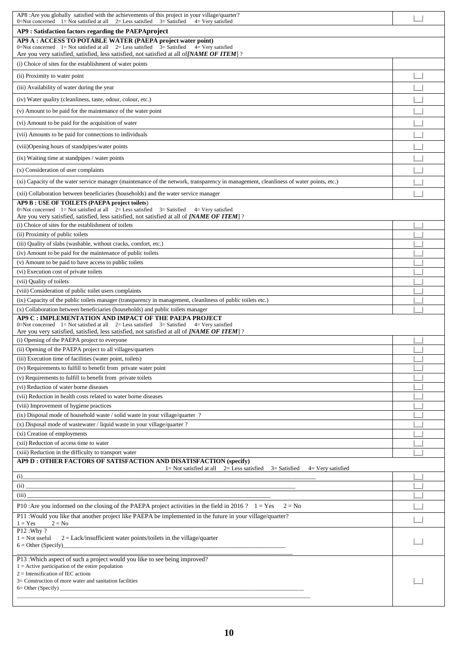| AP8: Are you globally satisfied with the achievements of this project in your village/quarter?<br>0=Not concerned 1 = Not satisfied at all 2 = Less satisfied 3 = Satisfied 4 = Very satisfied |  |
|------------------------------------------------------------------------------------------------------------------------------------------------------------------------------------------------|--|
| AP9 : Satisfaction factors regarding the PAEPAproject                                                                                                                                          |  |
| AP9 A : ACCESS TO POTABLE WATER (PAEPA project water point)                                                                                                                                    |  |
| 0=Not concerned 1=Not satisfied at all 2=Less satisfied $\overline{3}$ =Satisfied 4= Very satisfied                                                                                            |  |
| Are you very satisfied, satisfied, less satisfied, not satisfied at all of <i>NAME OF ITEM</i> ?                                                                                               |  |
| (i) Choice of sites for the establishment of water points                                                                                                                                      |  |
| (ii) Proximity to water point                                                                                                                                                                  |  |
| (iii) Availability of water during the year                                                                                                                                                    |  |
| (iv) Water quality (cleanliness, taste, odour, colour, etc.)                                                                                                                                   |  |
| (v) Amount to be paid for the maintenance of the water point                                                                                                                                   |  |
|                                                                                                                                                                                                |  |
| (vi) Amount to be paid for the acquisition of water                                                                                                                                            |  |
| (vii) Amounts to be paid for connections to individuals                                                                                                                                        |  |
| (viii)Opening hours of standpipes/water points                                                                                                                                                 |  |
| (ix) Waiting time at standpipes / water points                                                                                                                                                 |  |
| (x) Consideration of user complaints                                                                                                                                                           |  |
| (xi) Capacity of the water service manager (maintenance of the network, transparency in management, cleanliness of water points, etc.)                                                         |  |
| (xii) Collaboration between beneficiaries (households) and the water service manager                                                                                                           |  |
| AP9 B : USE OF TOILETS (PAEPA project toilets)                                                                                                                                                 |  |
| 0=Not concerned 1 = Not satisfied at all 2 = Less satisfied 3 = Satisfied 4 = Very satisfied                                                                                                   |  |
| Are you very satisfied, satisfied, less satisfied, not satisfied at all of <i>[NAME OF ITEM</i> ]?<br>(i) Choice of sites for the establishment of toilets                                     |  |
| (ii) Proximity of public toilets                                                                                                                                                               |  |
| (iii) Quality of slabs (washable, without cracks, comfort, etc.)                                                                                                                               |  |
| (iv) Amount to be paid for the maintenance of public toilets                                                                                                                                   |  |
| (v) Amount to be paid to have access to public toilets                                                                                                                                         |  |
| (vi) Execution cost of private toilets                                                                                                                                                         |  |
| (vii) Quality of toilets                                                                                                                                                                       |  |
| (viii) Consideration of public toilet users complaints                                                                                                                                         |  |
| (ix) Capacity of the public toilets manager (transparency in management, cleanliness of public toilets etc.)                                                                                   |  |
| (x) Collaboration between beneficiaries (households) and public toilets manager                                                                                                                |  |
| AP9 C : IMPLEMENTATION AND IMPACT OF THE PAEPA PROJECT<br>0=Not concerned $1 =$ Not satisfied at all $2 =$ Less satisfied $3 =$ Satisfied $4 =$ Very satisfied                                 |  |
| Are you very satisfied, satisfied, less satisfied, not satisfied at all of <i>[NAME OF ITEM</i> ]?                                                                                             |  |
| (i) Opening of the PAEPA project to everyone                                                                                                                                                   |  |
| (ii) Opening of the PAEPA project to all villages/quarters                                                                                                                                     |  |
| (iii) Execution time of facilities (water point, toilets)                                                                                                                                      |  |
| (iv) Requirements to fulfill to benefit from private water point                                                                                                                               |  |
| (v) Requirements to fulfill to benefit from private toilets                                                                                                                                    |  |
| (vi) Reduction of water borne diseases<br>(vii) Reduction in health costs related to water borne diseases                                                                                      |  |
| (viii) Improvement of hygiene practices                                                                                                                                                        |  |
| (ix) Disposal mode of household waste / solid waste in your village/quarter ?                                                                                                                  |  |
| (x) Disposal mode of wastewater / liquid waste in your village/quarter ?                                                                                                                       |  |
| (xi) Creation of employments                                                                                                                                                                   |  |
| (xii) Reduction of access time to water                                                                                                                                                        |  |
| (xiii) Reduction in the difficulty to transport water                                                                                                                                          |  |
| AP9 D : OTHER FACTORS OF SATISFACTION AND DISATISFACTION (specify)<br>$1 = Not$ satisfied at all $2 = Less$ satisfied $3 = S$ atisfied<br>$4=$ Very satisfied                                  |  |
| (i)                                                                                                                                                                                            |  |
| (ii)                                                                                                                                                                                           |  |
| (iii)                                                                                                                                                                                          |  |
| P10: Are you informed on the closing of the PAEPA project activities in the field in 2016 ? $1 = Yes$<br>$2 = No$                                                                              |  |
| P11 : Would you like that another project like PAEPA be implemented in the future in your village/quarter?<br>$2 = No$<br>$1 = Yes$                                                            |  |
| $P12:Why$ ?                                                                                                                                                                                    |  |
| $2 =$ Lack/insufficient water points/toilets in the village/quarter<br>$1 = Not useful$                                                                                                        |  |
| P13 : Which aspect of such a project would you like to see being improved?                                                                                                                     |  |
| $1 =$ Active participation of the entire population                                                                                                                                            |  |
| $2 =$ Intensification of IEC actions<br>3= Construction of more water and sanitation facilities                                                                                                |  |
|                                                                                                                                                                                                |  |
|                                                                                                                                                                                                |  |
|                                                                                                                                                                                                |  |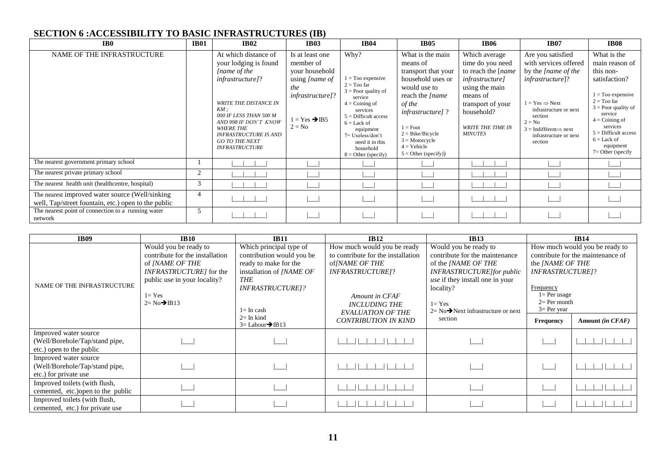# **SECTION 6 :ACCESSIBILITY TO BASIC INFRASTRUCTURES (IB)**

| IB <sub>0</sub>                                                                                        | <b>IB01</b> | <b>IB02</b>                                                                                                                                                                                                                                                                                 | <b>IB03</b>                                                                                                                                 | <b>IB04</b>                                                                                                                                                                                                                                         | <b>IB05</b>                                                                                                                                                                                                                                         | <b>IB06</b>                                                                                                                                                                                       | <b>IB07</b>                                                                                                                                                                                                                                     | <b>IB08</b>                                                                                                                                                                                                                                             |
|--------------------------------------------------------------------------------------------------------|-------------|---------------------------------------------------------------------------------------------------------------------------------------------------------------------------------------------------------------------------------------------------------------------------------------------|---------------------------------------------------------------------------------------------------------------------------------------------|-----------------------------------------------------------------------------------------------------------------------------------------------------------------------------------------------------------------------------------------------------|-----------------------------------------------------------------------------------------------------------------------------------------------------------------------------------------------------------------------------------------------------|---------------------------------------------------------------------------------------------------------------------------------------------------------------------------------------------------|-------------------------------------------------------------------------------------------------------------------------------------------------------------------------------------------------------------------------------------------------|---------------------------------------------------------------------------------------------------------------------------------------------------------------------------------------------------------------------------------------------------------|
| NAME OF THE INFRASTRUCTURE                                                                             |             | At which distance of<br>your lodging is found<br>[name of the<br><i>infrastructure]?</i><br><b>WRITE THE DISTANCE IN</b><br>$KM$ :<br>000 IF LESS THAN 500 M<br>AND 998 IF DON'T KNOW<br><b>WHERE THE</b><br><b>INFRASTRUCTURE IS AND</b><br><b>GO TO THE NEXT</b><br><b>INFRASTRUCTURE</b> | Is at least one<br>member of<br>your household<br>using <i>[name of</i><br>the<br>infrastructure]?<br>$1 = Yes \rightarrow IB5$<br>$2 = No$ | Why?<br>$=$ Too expensive<br>$2 =$ Too far<br>$3 =$ Poor quality of<br>service<br>$4 =$ Coining of<br>services<br>$5 =$ Difficult access<br>$6 =$ Lack of<br>equipment<br>7= Useless/don't<br>need it in this<br>household<br>$8 =$ Other (specify) | What is the main<br>means of<br>transport that your<br>household uses or<br>would use to<br>reach the <i>[name</i><br>of the<br>infrastructure]?<br>$1 =$ Foot<br>$2 = Bike/Bicycle$<br>$3 =$ Motorcycle<br>$4 =$ Vehicle<br>$5 =$ Other (specify)) | Which average<br>time do you need<br>to reach the [name]<br><i>infrastructure]</i><br>using the main<br>means of<br>transport of your<br>household?<br><b>WRITE THE TIME IN</b><br><b>MINUTES</b> | Are you satisfied<br>with services offered<br>by the [name of the<br>infrastructure]?<br>$1 = Yes \Rightarrow Next$<br>infrastructure or next<br>section<br>$2 = No$<br>$3 = Indifférent \Rightarrow next$<br>infrastructure or next<br>section | What is the<br>main reason of<br>this non-<br>satisfaction?<br>$1 =$ Too expensive<br>$2 =$ Too far<br>$3 =$ Poor quality of<br>service<br>$4 =$ Coining of<br>services<br>$5 =$ Difficult access<br>$6 =$ Lack of<br>equipment<br>$7 =$ Other (specify |
| The nearest government primary school                                                                  |             |                                                                                                                                                                                                                                                                                             |                                                                                                                                             |                                                                                                                                                                                                                                                     |                                                                                                                                                                                                                                                     |                                                                                                                                                                                                   |                                                                                                                                                                                                                                                 |                                                                                                                                                                                                                                                         |
| The nearest private primary school                                                                     | 2           |                                                                                                                                                                                                                                                                                             |                                                                                                                                             |                                                                                                                                                                                                                                                     |                                                                                                                                                                                                                                                     |                                                                                                                                                                                                   |                                                                                                                                                                                                                                                 |                                                                                                                                                                                                                                                         |
| The nearest health unit (healthcentre, hospital)                                                       | 3           |                                                                                                                                                                                                                                                                                             |                                                                                                                                             |                                                                                                                                                                                                                                                     |                                                                                                                                                                                                                                                     |                                                                                                                                                                                                   |                                                                                                                                                                                                                                                 |                                                                                                                                                                                                                                                         |
| The nearest improved water source (Well/sinking<br>well, Tap/street fountain, etc.) open to the public | 4           |                                                                                                                                                                                                                                                                                             |                                                                                                                                             |                                                                                                                                                                                                                                                     |                                                                                                                                                                                                                                                     |                                                                                                                                                                                                   |                                                                                                                                                                                                                                                 |                                                                                                                                                                                                                                                         |
| The nearest point of connection to a running water<br>network                                          | 5           |                                                                                                                                                                                                                                                                                             |                                                                                                                                             |                                                                                                                                                                                                                                                     |                                                                                                                                                                                                                                                     |                                                                                                                                                                                                   |                                                                                                                                                                                                                                                 |                                                                                                                                                                                                                                                         |

| <b>IB09</b>                                                                         | <b>IB10</b>                                                                                                                                                                      | <b>IB11</b>                                                                                                                                                  | <b>IB12</b>                                                                                                                                                                          | <b>IB13</b>                                                                                                                                                                                                                          |                                                                                                                | <b>IB14</b>                                                         |
|-------------------------------------------------------------------------------------|----------------------------------------------------------------------------------------------------------------------------------------------------------------------------------|--------------------------------------------------------------------------------------------------------------------------------------------------------------|--------------------------------------------------------------------------------------------------------------------------------------------------------------------------------------|--------------------------------------------------------------------------------------------------------------------------------------------------------------------------------------------------------------------------------------|----------------------------------------------------------------------------------------------------------------|---------------------------------------------------------------------|
| NAME OF THE INFRASTRUCTURE                                                          | Would you be ready to<br>contribute for the installation<br>of [NAME OF THE<br>INFRASTRUCTURE] for the<br>public use in your locality?<br>$1 = Yes$<br>$2 = No \rightarrow IB13$ | Which principal type of<br>contribution would you be<br>ready to make for the<br>installation of [NAME OF<br>THE<br><b>INFRASTRUCTURE1?</b><br>$l = In cash$ | How much would you be ready<br>to contribute for the installation<br>of/NAME OF THE<br><b>INFRASTRUCTURE1?</b><br>Amount in CFAF<br><b>INCLUDING THE</b><br><b>EVALUATION OF THE</b> | Would you be ready to<br>contribute for the maintenance<br>of the [NAME OF THE<br><b>INFRASTRUCTURE</b> [for public<br>use if they install one in your<br>locality?<br>$1 = Yes$<br>$2 = No \rightarrow$ Next infrastructure or next | the [NAME OF THE<br><b>INFRASTRUCTURE]?</b><br>Frequency<br>$1 = Per usage$<br>$2=$ Per month<br>$3=$ Per year | How much would you be ready to<br>contribute for the maintenance of |
|                                                                                     |                                                                                                                                                                                  | $2=$ In kind<br>$3 =$ Labour $\rightarrow$ IB13                                                                                                              | <b>CONTRIBUTION IN KIND</b>                                                                                                                                                          | section                                                                                                                                                                                                                              | Frequency                                                                                                      | Amount (in CFAF)                                                    |
| Improved water source<br>(Well/Borehole/Tap/stand pipe,<br>etc.) open to the public |                                                                                                                                                                                  |                                                                                                                                                              |                                                                                                                                                                                      |                                                                                                                                                                                                                                      |                                                                                                                |                                                                     |
| Improved water source<br>(Well/Borehole/Tap/stand pipe,<br>etc.) for private use    |                                                                                                                                                                                  |                                                                                                                                                              |                                                                                                                                                                                      |                                                                                                                                                                                                                                      |                                                                                                                |                                                                     |
| Improved toilets (with flush,<br>cemented, etc.) open to the public                 |                                                                                                                                                                                  |                                                                                                                                                              |                                                                                                                                                                                      |                                                                                                                                                                                                                                      |                                                                                                                |                                                                     |
| Improved toilets (with flush,<br>cemented, etc.) for private use                    |                                                                                                                                                                                  |                                                                                                                                                              |                                                                                                                                                                                      |                                                                                                                                                                                                                                      |                                                                                                                |                                                                     |